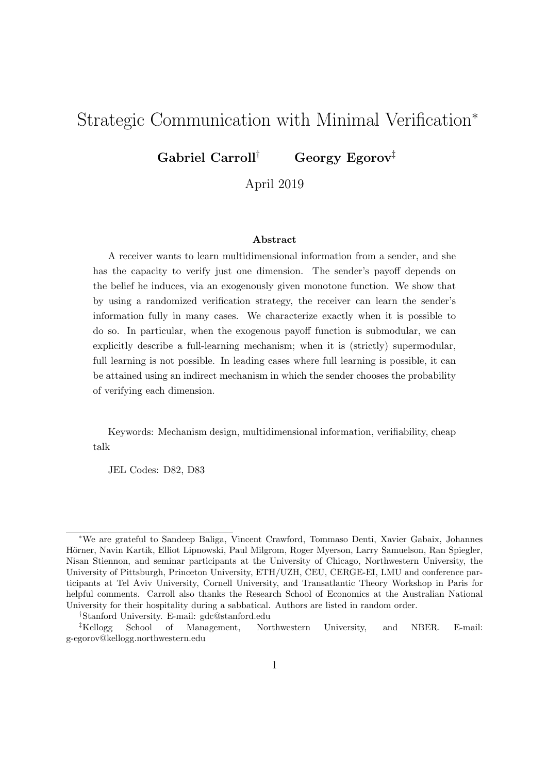# Strategic Communication with Minimal Verification<sup>∗</sup>

Gabriel Carroll† Georgy Egorov‡

April 2019

#### Abstract

A receiver wants to learn multidimensional information from a sender, and she has the capacity to verify just one dimension. The sender's payoff depends on the belief he induces, via an exogenously given monotone function. We show that by using a randomized verification strategy, the receiver can learn the sender's information fully in many cases. We characterize exactly when it is possible to do so. In particular, when the exogenous payoff function is submodular, we can explicitly describe a full-learning mechanism; when it is (strictly) supermodular, full learning is not possible. In leading cases where full learning is possible, it can be attained using an indirect mechanism in which the sender chooses the probability of verifying each dimension.

Keywords: Mechanism design, multidimensional information, verifiability, cheap talk

JEL Codes: D82, D83

<sup>∗</sup>We are grateful to Sandeep Baliga, Vincent Crawford, Tommaso Denti, Xavier Gabaix, Johannes Hörner, Navin Kartik, Elliot Lipnowski, Paul Milgrom, Roger Myerson, Larry Samuelson, Ran Spiegler, Nisan Stiennon, and seminar participants at the University of Chicago, Northwestern University, the University of Pittsburgh, Princeton University, ETH/UZH, CEU, CERGE-EI, LMU and conference participants at Tel Aviv University, Cornell University, and Transatlantic Theory Workshop in Paris for helpful comments. Carroll also thanks the Research School of Economics at the Australian National University for their hospitality during a sabbatical. Authors are listed in random order.

<sup>†</sup>Stanford University. E-mail: gdc@stanford.edu

<sup>‡</sup>Kellogg School of Management, Northwestern University, and NBER. E-mail: g-egorov@kellogg.northwestern.edu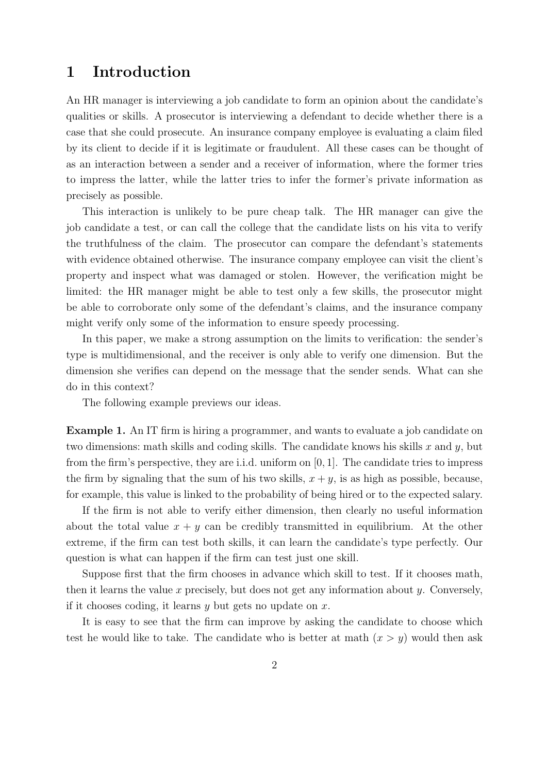## 1 Introduction

An HR manager is interviewing a job candidate to form an opinion about the candidate's qualities or skills. A prosecutor is interviewing a defendant to decide whether there is a case that she could prosecute. An insurance company employee is evaluating a claim filed by its client to decide if it is legitimate or fraudulent. All these cases can be thought of as an interaction between a sender and a receiver of information, where the former tries to impress the latter, while the latter tries to infer the former's private information as precisely as possible.

This interaction is unlikely to be pure cheap talk. The HR manager can give the job candidate a test, or can call the college that the candidate lists on his vita to verify the truthfulness of the claim. The prosecutor can compare the defendant's statements with evidence obtained otherwise. The insurance company employee can visit the client's property and inspect what was damaged or stolen. However, the verification might be limited: the HR manager might be able to test only a few skills, the prosecutor might be able to corroborate only some of the defendant's claims, and the insurance company might verify only some of the information to ensure speedy processing.

In this paper, we make a strong assumption on the limits to verification: the sender's type is multidimensional, and the receiver is only able to verify one dimension. But the dimension she verifies can depend on the message that the sender sends. What can she do in this context?

The following example previews our ideas.

Example 1. An IT firm is hiring a programmer, and wants to evaluate a job candidate on two dimensions: math skills and coding skills. The candidate knows his skills x and y, but from the firm's perspective, they are i.i.d. uniform on [0, 1]. The candidate tries to impress the firm by signaling that the sum of his two skills,  $x + y$ , is as high as possible, because, for example, this value is linked to the probability of being hired or to the expected salary.

If the firm is not able to verify either dimension, then clearly no useful information about the total value  $x + y$  can be credibly transmitted in equilibrium. At the other extreme, if the firm can test both skills, it can learn the candidate's type perfectly. Our question is what can happen if the firm can test just one skill.

Suppose first that the firm chooses in advance which skill to test. If it chooses math, then it learns the value x precisely, but does not get any information about y. Conversely, if it chooses coding, it learns  $y$  but gets no update on  $x$ .

It is easy to see that the firm can improve by asking the candidate to choose which test he would like to take. The candidate who is better at math  $(x > y)$  would then ask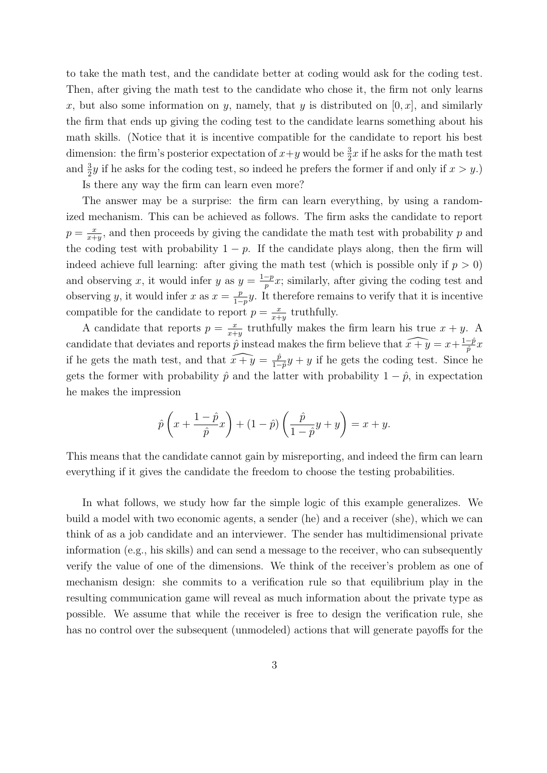to take the math test, and the candidate better at coding would ask for the coding test. Then, after giving the math test to the candidate who chose it, the firm not only learns x, but also some information on y, namely, that y is distributed on  $[0, x]$ , and similarly the firm that ends up giving the coding test to the candidate learns something about his math skills. (Notice that it is incentive compatible for the candidate to report his best dimension: the firm's posterior expectation of  $x+y$  would be  $\frac{3}{2}x$  if he asks for the math test and  $\frac{3}{2}y$  if he asks for the coding test, so indeed he prefers the former if and only if  $x > y$ .)

Is there any way the firm can learn even more?

The answer may be a surprise: the firm can learn everything, by using a randomized mechanism. This can be achieved as follows. The firm asks the candidate to report  $p = \frac{x}{x+1}$  $\frac{x}{x+y}$ , and then proceeds by giving the candidate the math test with probability p and the coding test with probability  $1 - p$ . If the candidate plays along, then the firm will indeed achieve full learning: after giving the math test (which is possible only if  $p > 0$ ) and observing x, it would infer y as  $y = \frac{1-p}{p}$  $\frac{-p}{p}x$ ; similarly, after giving the coding test and observing y, it would infer x as  $x = \frac{p}{1-p}$  $\frac{p}{1-p}y$ . It therefore remains to verify that it is incentive compatible for the candidate to report  $p = \frac{x}{x+1}$  $\frac{x}{x+y}$  truthfully.

A candidate that reports  $p = \frac{x}{x+1}$  $\frac{x}{x+y}$  truthfully makes the firm learn his true  $x+y$ . A candidate that deviates and reports  $\hat{p}$  instead makes the firm believe that  $\widehat{x + y} = x + \frac{1-\hat{p}}{\hat{p}}$  $\frac{-p}{\hat{p}}x$ if he gets the math test, and that  $\widehat{x + y} = \frac{\hat{p}}{1 - \hat{p}}$  $\frac{p}{1-p}y + y$  if he gets the coding test. Since he gets the former with probability  $\hat{p}$  and the latter with probability  $1 - \hat{p}$ , in expectation he makes the impression

$$
\hat{p}\left(x+\frac{1-\hat{p}}{\hat{p}}x\right)+(1-\hat{p})\left(\frac{\hat{p}}{1-\hat{p}}y+y\right)=x+y.
$$

This means that the candidate cannot gain by misreporting, and indeed the firm can learn everything if it gives the candidate the freedom to choose the testing probabilities.

In what follows, we study how far the simple logic of this example generalizes. We build a model with two economic agents, a sender (he) and a receiver (she), which we can think of as a job candidate and an interviewer. The sender has multidimensional private information (e.g., his skills) and can send a message to the receiver, who can subsequently verify the value of one of the dimensions. We think of the receiver's problem as one of mechanism design: she commits to a verification rule so that equilibrium play in the resulting communication game will reveal as much information about the private type as possible. We assume that while the receiver is free to design the verification rule, she has no control over the subsequent (unmodeled) actions that will generate payoffs for the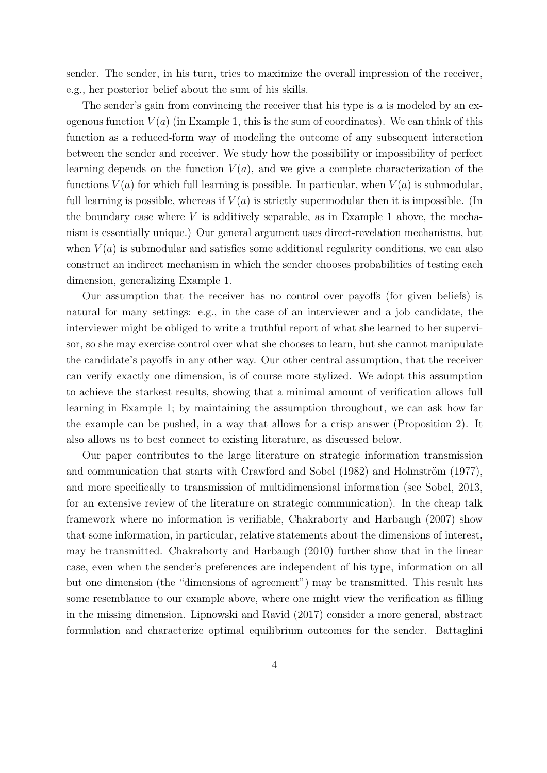sender. The sender, in his turn, tries to maximize the overall impression of the receiver, e.g., her posterior belief about the sum of his skills.

The sender's gain from convincing the receiver that his type is  $a$  is modeled by an exogenous function  $V(a)$  (in Example 1, this is the sum of coordinates). We can think of this function as a reduced-form way of modeling the outcome of any subsequent interaction between the sender and receiver. We study how the possibility or impossibility of perfect learning depends on the function  $V(a)$ , and we give a complete characterization of the functions  $V(a)$  for which full learning is possible. In particular, when  $V(a)$  is submodular, full learning is possible, whereas if  $V(a)$  is strictly supermodular then it is impossible. (In the boundary case where  $V$  is additively separable, as in Example 1 above, the mechanism is essentially unique.) Our general argument uses direct-revelation mechanisms, but when  $V(a)$  is submodular and satisfies some additional regularity conditions, we can also construct an indirect mechanism in which the sender chooses probabilities of testing each dimension, generalizing Example 1.

Our assumption that the receiver has no control over payoffs (for given beliefs) is natural for many settings: e.g., in the case of an interviewer and a job candidate, the interviewer might be obliged to write a truthful report of what she learned to her supervisor, so she may exercise control over what she chooses to learn, but she cannot manipulate the candidate's payoffs in any other way. Our other central assumption, that the receiver can verify exactly one dimension, is of course more stylized. We adopt this assumption to achieve the starkest results, showing that a minimal amount of verification allows full learning in Example 1; by maintaining the assumption throughout, we can ask how far the example can be pushed, in a way that allows for a crisp answer (Proposition 2). It also allows us to best connect to existing literature, as discussed below.

Our paper contributes to the large literature on strategic information transmission and communication that starts with Crawford and Sobel  $(1982)$  and Holmström  $(1977)$ , and more specifically to transmission of multidimensional information (see Sobel, 2013, for an extensive review of the literature on strategic communication). In the cheap talk framework where no information is verifiable, Chakraborty and Harbaugh (2007) show that some information, in particular, relative statements about the dimensions of interest, may be transmitted. Chakraborty and Harbaugh (2010) further show that in the linear case, even when the sender's preferences are independent of his type, information on all but one dimension (the "dimensions of agreement") may be transmitted. This result has some resemblance to our example above, where one might view the verification as filling in the missing dimension. Lipnowski and Ravid (2017) consider a more general, abstract formulation and characterize optimal equilibrium outcomes for the sender. Battaglini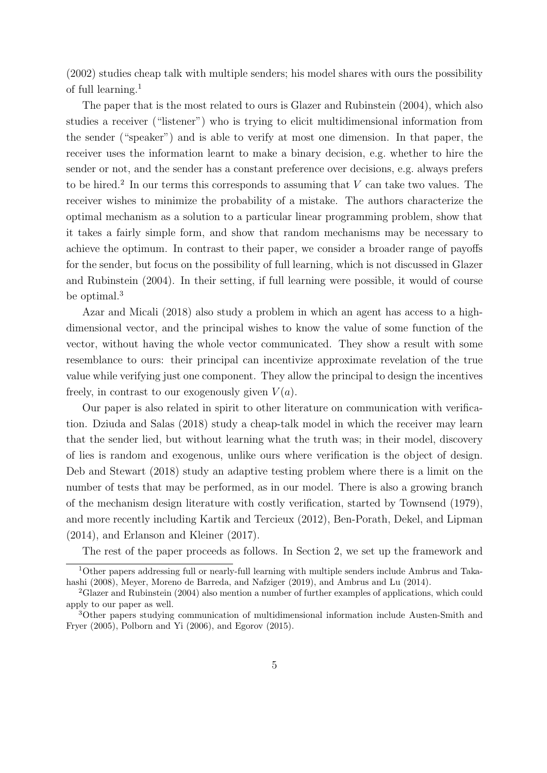(2002) studies cheap talk with multiple senders; his model shares with ours the possibility of full learning.<sup>1</sup>

The paper that is the most related to ours is Glazer and Rubinstein (2004), which also studies a receiver ("listener") who is trying to elicit multidimensional information from the sender ("speaker") and is able to verify at most one dimension. In that paper, the receiver uses the information learnt to make a binary decision, e.g. whether to hire the sender or not, and the sender has a constant preference over decisions, e.g. always prefers to be hired.<sup>2</sup> In our terms this corresponds to assuming that  $V$  can take two values. The receiver wishes to minimize the probability of a mistake. The authors characterize the optimal mechanism as a solution to a particular linear programming problem, show that it takes a fairly simple form, and show that random mechanisms may be necessary to achieve the optimum. In contrast to their paper, we consider a broader range of payoffs for the sender, but focus on the possibility of full learning, which is not discussed in Glazer and Rubinstein (2004). In their setting, if full learning were possible, it would of course be optimal.<sup>3</sup>

Azar and Micali (2018) also study a problem in which an agent has access to a highdimensional vector, and the principal wishes to know the value of some function of the vector, without having the whole vector communicated. They show a result with some resemblance to ours: their principal can incentivize approximate revelation of the true value while verifying just one component. They allow the principal to design the incentives freely, in contrast to our exogenously given  $V(a)$ .

Our paper is also related in spirit to other literature on communication with verification. Dziuda and Salas (2018) study a cheap-talk model in which the receiver may learn that the sender lied, but without learning what the truth was; in their model, discovery of lies is random and exogenous, unlike ours where verification is the object of design. Deb and Stewart (2018) study an adaptive testing problem where there is a limit on the number of tests that may be performed, as in our model. There is also a growing branch of the mechanism design literature with costly verification, started by Townsend (1979), and more recently including Kartik and Tercieux (2012), Ben-Porath, Dekel, and Lipman (2014), and Erlanson and Kleiner (2017).

The rest of the paper proceeds as follows. In Section 2, we set up the framework and

<sup>1</sup>Other papers addressing full or nearly-full learning with multiple senders include Ambrus and Takahashi (2008), Meyer, Moreno de Barreda, and Nafziger (2019), and Ambrus and Lu (2014).

<sup>2</sup>Glazer and Rubinstein (2004) also mention a number of further examples of applications, which could apply to our paper as well.

<sup>3</sup>Other papers studying communication of multidimensional information include Austen-Smith and Fryer (2005), Polborn and Yi (2006), and Egorov (2015).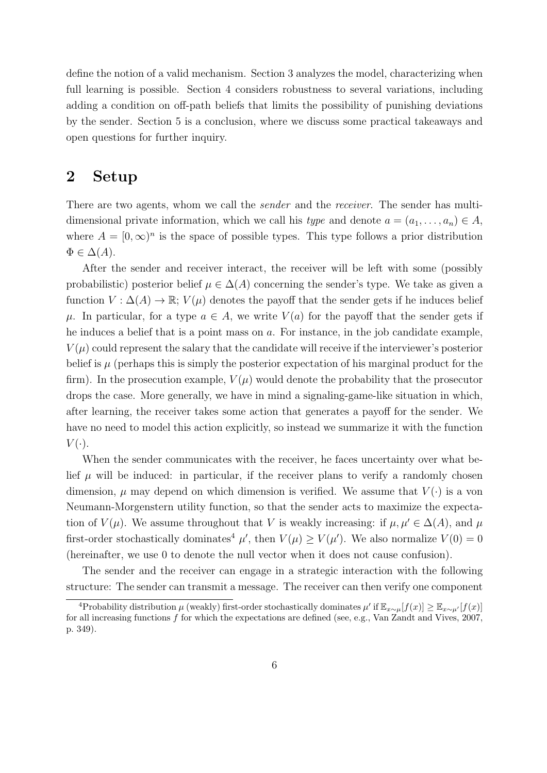define the notion of a valid mechanism. Section 3 analyzes the model, characterizing when full learning is possible. Section 4 considers robustness to several variations, including adding a condition on off-path beliefs that limits the possibility of punishing deviations by the sender. Section 5 is a conclusion, where we discuss some practical takeaways and open questions for further inquiry.

## 2 Setup

There are two agents, whom we call the *sender* and the *receiver*. The sender has multidimensional private information, which we call his type and denote  $a = (a_1, \ldots, a_n) \in A$ , where  $A = [0, \infty)^n$  is the space of possible types. This type follows a prior distribution  $\Phi \in \Delta(A).$ 

After the sender and receiver interact, the receiver will be left with some (possibly probabilistic) posterior belief  $\mu \in \Delta(A)$  concerning the sender's type. We take as given a function  $V: \Delta(A) \to \mathbb{R}; V(\mu)$  denotes the payoff that the sender gets if he induces belief  $\mu$ . In particular, for a type  $a \in A$ , we write  $V(a)$  for the payoff that the sender gets if he induces a belief that is a point mass on  $a$ . For instance, in the job candidate example,  $V(\mu)$  could represent the salary that the candidate will receive if the interviewer's posterior belief is  $\mu$  (perhaps this is simply the posterior expectation of his marginal product for the firm). In the prosecution example,  $V(\mu)$  would denote the probability that the prosecutor drops the case. More generally, we have in mind a signaling-game-like situation in which, after learning, the receiver takes some action that generates a payoff for the sender. We have no need to model this action explicitly, so instead we summarize it with the function  $V(\cdot)$ .

When the sender communicates with the receiver, he faces uncertainty over what belief  $\mu$  will be induced: in particular, if the receiver plans to verify a randomly chosen dimension,  $\mu$  may depend on which dimension is verified. We assume that  $V(\cdot)$  is a von Neumann-Morgenstern utility function, so that the sender acts to maximize the expectation of  $V(\mu)$ . We assume throughout that V is weakly increasing: if  $\mu, \mu' \in \Delta(A)$ , and  $\mu$ first-order stochastically dominates<sup>4</sup>  $\mu'$ , then  $V(\mu) \geq V(\mu')$ . We also normalize  $V(0) = 0$ (hereinafter, we use 0 to denote the null vector when it does not cause confusion).

The sender and the receiver can engage in a strategic interaction with the following structure: The sender can transmit a message. The receiver can then verify one component

<sup>&</sup>lt;sup>4</sup>Probability distribution  $\mu$  (weakly) first-order stochastically dominates  $\mu'$  if  $\mathbb{E}_{x\sim\mu}[f(x)] \geq \mathbb{E}_{x\sim\mu'}[f(x)]$ for all increasing functions  $f$  for which the expectations are defined (see, e.g., Van Zandt and Vives, 2007, p. 349).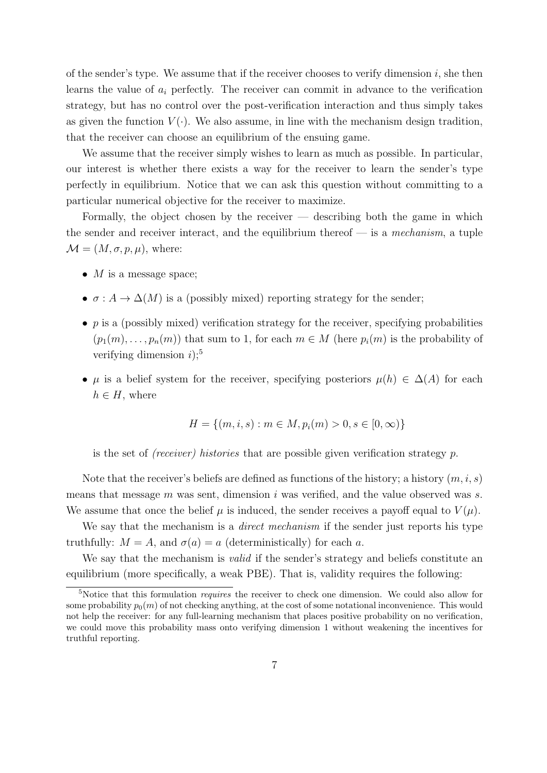of the sender's type. We assume that if the receiver chooses to verify dimension  $i$ , she then learns the value of  $a_i$  perfectly. The receiver can commit in advance to the verification strategy, but has no control over the post-verification interaction and thus simply takes as given the function  $V(\cdot)$ . We also assume, in line with the mechanism design tradition, that the receiver can choose an equilibrium of the ensuing game.

We assume that the receiver simply wishes to learn as much as possible. In particular, our interest is whether there exists a way for the receiver to learn the sender's type perfectly in equilibrium. Notice that we can ask this question without committing to a particular numerical objective for the receiver to maximize.

Formally, the object chosen by the receiver  $-$  describing both the game in which the sender and receiver interact, and the equilibrium thereof  $-$  is a mechanism, a tuple  $\mathcal{M} = (M, \sigma, p, \mu)$ , where:

- $M$  is a message space;
- $\sigma: A \to \Delta(M)$  is a (possibly mixed) reporting strategy for the sender;
- $p$  is a (possibly mixed) verification strategy for the receiver, specifying probabilities  $(p_1(m), \ldots, p_n(m))$  that sum to 1, for each  $m \in M$  (here  $p_i(m)$  is the probability of verifying dimension  $i$ <sup>5</sup>
- $\mu$  is a belief system for the receiver, specifying posteriors  $\mu(h) \in \Delta(A)$  for each  $h \in H$ , where

$$
H = \{(m, i, s) : m \in M, p_i(m) > 0, s \in [0, \infty)\}\
$$

is the set of *(receiver)* histories that are possible given verification strategy  $p$ .

Note that the receiver's beliefs are defined as functions of the history; a history  $(m, i, s)$ means that message  $m$  was sent, dimension  $i$  was verified, and the value observed was  $s$ . We assume that once the belief  $\mu$  is induced, the sender receives a payoff equal to  $V(\mu)$ .

We say that the mechanism is a *direct mechanism* if the sender just reports his type truthfully:  $M = A$ , and  $\sigma(a) = a$  (deterministically) for each a.

We say that the mechanism is *valid* if the sender's strategy and beliefs constitute an equilibrium (more specifically, a weak PBE). That is, validity requires the following:

<sup>&</sup>lt;sup>5</sup>Notice that this formulation *requires* the receiver to check one dimension. We could also allow for some probability  $p_0(m)$  of not checking anything, at the cost of some notational inconvenience. This would not help the receiver: for any full-learning mechanism that places positive probability on no verification, we could move this probability mass onto verifying dimension 1 without weakening the incentives for truthful reporting.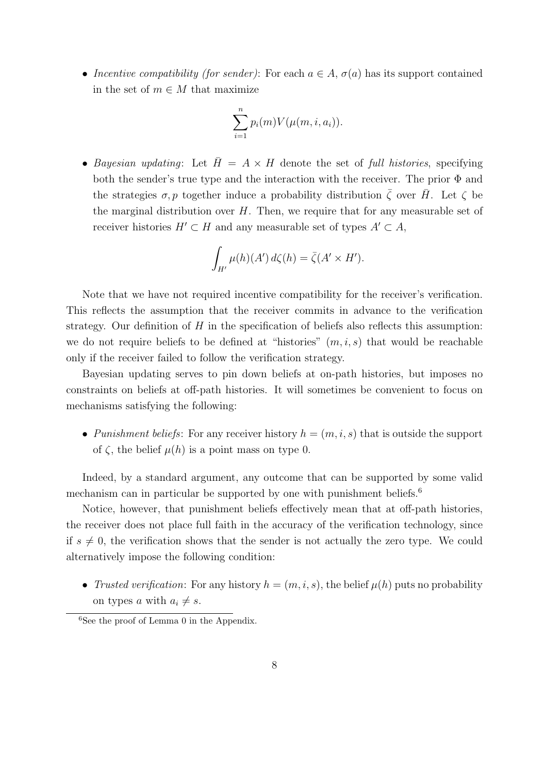• Incentive compatibility (for sender): For each  $a \in A$ ,  $\sigma(a)$  has its support contained in the set of  $m \in M$  that maximize

$$
\sum_{i=1}^{n} p_i(m) V(\mu(m, i, a_i)).
$$

• Bayesian updating: Let  $\bar{H} = A \times H$  denote the set of full histories, specifying both the sender's true type and the interaction with the receiver. The prior Φ and the strategies  $\sigma, p$  together induce a probability distribution  $\overline{\zeta}$  over  $\overline{H}$ . Let  $\zeta$  be the marginal distribution over  $H$ . Then, we require that for any measurable set of receiver histories  $H' \subset H$  and any measurable set of types  $A' \subset A$ ,

$$
\int_{H'} \mu(h)(A') d\zeta(h) = \overline{\zeta}(A' \times H').
$$

Note that we have not required incentive compatibility for the receiver's verification. This reflects the assumption that the receiver commits in advance to the verification strategy. Our definition of  $H$  in the specification of beliefs also reflects this assumption: we do not require beliefs to be defined at "histories"  $(m, i, s)$  that would be reachable only if the receiver failed to follow the verification strategy.

Bayesian updating serves to pin down beliefs at on-path histories, but imposes no constraints on beliefs at off-path histories. It will sometimes be convenient to focus on mechanisms satisfying the following:

• Punishment beliefs: For any receiver history  $h = (m, i, s)$  that is outside the support of  $\zeta$ , the belief  $\mu(h)$  is a point mass on type 0.

Indeed, by a standard argument, any outcome that can be supported by some valid mechanism can in particular be supported by one with punishment beliefs.<sup>6</sup>

Notice, however, that punishment beliefs effectively mean that at off-path histories, the receiver does not place full faith in the accuracy of the verification technology, since if  $s \neq 0$ , the verification shows that the sender is not actually the zero type. We could alternatively impose the following condition:

• Trusted verification: For any history  $h = (m, i, s)$ , the belief  $\mu(h)$  puts no probability on types a with  $a_i \neq s$ .

 ${}^{6}$ See the proof of Lemma 0 in the Appendix.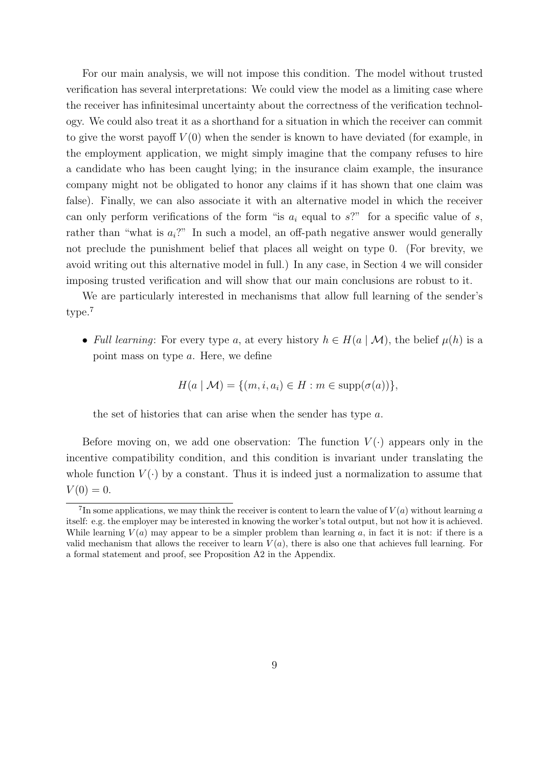For our main analysis, we will not impose this condition. The model without trusted verification has several interpretations: We could view the model as a limiting case where the receiver has infinitesimal uncertainty about the correctness of the verification technology. We could also treat it as a shorthand for a situation in which the receiver can commit to give the worst payoff  $V(0)$  when the sender is known to have deviated (for example, in the employment application, we might simply imagine that the company refuses to hire a candidate who has been caught lying; in the insurance claim example, the insurance company might not be obligated to honor any claims if it has shown that one claim was false). Finally, we can also associate it with an alternative model in which the receiver can only perform verifications of the form "is  $a_i$  equal to s?" for a specific value of s, rather than "what is  $a_i$ ?" In such a model, an off-path negative answer would generally not preclude the punishment belief that places all weight on type 0. (For brevity, we avoid writing out this alternative model in full.) In any case, in Section 4 we will consider imposing trusted verification and will show that our main conclusions are robust to it.

We are particularly interested in mechanisms that allow full learning of the sender's type.<sup>7</sup>

• Full learning: For every type a, at every history  $h \in H(a \mid \mathcal{M})$ , the belief  $\mu(h)$  is a point mass on type a. Here, we define

$$
H(a \mid \mathcal{M}) = \{ (m, i, a_i) \in H : m \in \text{supp}(\sigma(a)) \},
$$

the set of histories that can arise when the sender has type a.

Before moving on, we add one observation: The function  $V(\cdot)$  appears only in the incentive compatibility condition, and this condition is invariant under translating the whole function  $V(\cdot)$  by a constant. Thus it is indeed just a normalization to assume that  $V(0) = 0.$ 

<sup>&</sup>lt;sup>7</sup>In some applications, we may think the receiver is content to learn the value of  $V(a)$  without learning a itself: e.g. the employer may be interested in knowing the worker's total output, but not how it is achieved. While learning  $V(a)$  may appear to be a simpler problem than learning a, in fact it is not: if there is a valid mechanism that allows the receiver to learn  $V(a)$ , there is also one that achieves full learning. For a formal statement and proof, see Proposition A2 in the Appendix.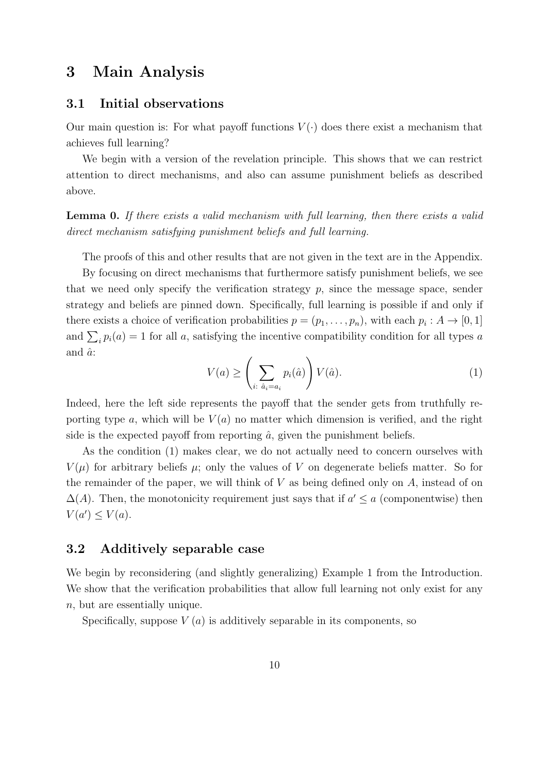## 3 Main Analysis

#### 3.1 Initial observations

Our main question is: For what payoff functions  $V(\cdot)$  does there exist a mechanism that achieves full learning?

We begin with a version of the revelation principle. This shows that we can restrict attention to direct mechanisms, and also can assume punishment beliefs as described above.

Lemma 0. If there exists a valid mechanism with full learning, then there exists a valid direct mechanism satisfying punishment beliefs and full learning.

The proofs of this and other results that are not given in the text are in the Appendix.

By focusing on direct mechanisms that furthermore satisfy punishment beliefs, we see that we need only specify the verification strategy  $p$ , since the message space, sender strategy and beliefs are pinned down. Specifically, full learning is possible if and only if there exists a choice of verification probabilities  $p = (p_1, \ldots, p_n)$ , with each  $p_i : A \to [0, 1]$ and  $\sum_i p_i(a) = 1$  for all a, satisfying the incentive compatibility condition for all types a and  $\hat{a}$ :

$$
V(a) \ge \left(\sum_{i:\ \hat{a}_i = a_i} p_i(\hat{a})\right) V(\hat{a}).\tag{1}
$$

Indeed, here the left side represents the payoff that the sender gets from truthfully reporting type a, which will be  $V(a)$  no matter which dimension is verified, and the right side is the expected payoff from reporting  $\hat{a}$ , given the punishment beliefs.

As the condition (1) makes clear, we do not actually need to concern ourselves with  $V(\mu)$  for arbitrary beliefs  $\mu$ ; only the values of V on degenerate beliefs matter. So for the remainder of the paper, we will think of  $V$  as being defined only on  $A$ , instead of on  $\Delta(A)$ . Then, the monotonicity requirement just says that if  $a' \le a$  (componentwise) then  $V(a') \leq V(a)$ .

#### 3.2 Additively separable case

We begin by reconsidering (and slightly generalizing) Example 1 from the Introduction. We show that the verification probabilities that allow full learning not only exist for any n, but are essentially unique.

Specifically, suppose  $V(a)$  is additively separable in its components, so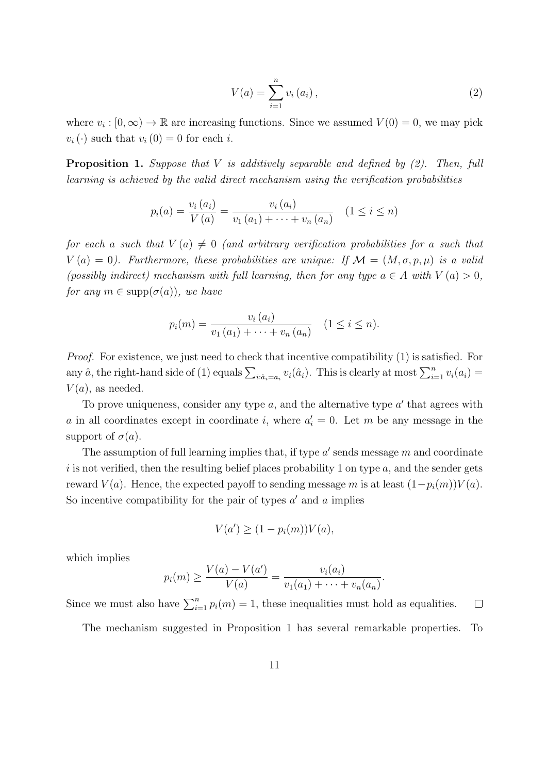$$
V(a) = \sum_{i=1}^{n} v_i(a_i),
$$
\n(2)

where  $v_i : [0, \infty) \to \mathbb{R}$  are increasing functions. Since we assumed  $V(0) = 0$ , we may pick  $v_i(\cdot)$  such that  $v_i(0) = 0$  for each i.

**Proposition 1.** Suppose that V is additively separable and defined by  $(2)$ . Then, full learning is achieved by the valid direct mechanism using the verification probabilities

$$
p_i(a) = \frac{v_i(a_i)}{V(a)} = \frac{v_i(a_i)}{v_1(a_1) + \dots + v_n(a_n)} \quad (1 \le i \le n)
$$

for each a such that  $V(a) \neq 0$  (and arbitrary verification probabilities for a such that  $V(a) = 0$ ). Furthermore, these probabilities are unique: If  $\mathcal{M} = (M, \sigma, p, \mu)$  is a valid (possibly indirect) mechanism with full learning, then for any type  $a \in A$  with  $V(a) > 0$ , for any  $m \in \text{supp}(\sigma(a))$ , we have

$$
p_i(m) = \frac{v_i(a_i)}{v_1(a_1) + \dots + v_n(a_n)} \quad (1 \leq i \leq n).
$$

Proof. For existence, we just need to check that incentive compatibility (1) is satisfied. For any  $\hat{a}$ , the right-hand side of (1) equals  $\sum_{i:\hat{a}_i=a_i} v_i(\hat{a}_i)$ . This is clearly at most  $\sum_{i=1}^n v_i(a_i)$  $V(a)$ , as needed.

To prove uniqueness, consider any type  $a$ , and the alternative type  $a'$  that agrees with a in all coordinates except in coordinate i, where  $a'_i = 0$ . Let m be any message in the support of  $\sigma(a)$ .

The assumption of full learning implies that, if type  $a'$  sends message  $m$  and coordinate i is not verified, then the resulting belief places probability 1 on type  $a$ , and the sender gets reward  $V(a)$ . Hence, the expected payoff to sending message m is at least  $(1-p_i(m))V(a)$ . So incentive compatibility for the pair of types  $a'$  and  $a$  implies

$$
V(a') \ge (1 - p_i(m))V(a),
$$

which implies

$$
p_i(m) \ge \frac{V(a) - V(a')}{V(a)} = \frac{v_i(a_i)}{v_1(a_1) + \cdots + v_n(a_n)}.
$$

Since we must also have  $\sum_{i=1}^{n} p_i(m) = 1$ , these inequalities must hold as equalities.  $\Box$ 

The mechanism suggested in Proposition 1 has several remarkable properties. To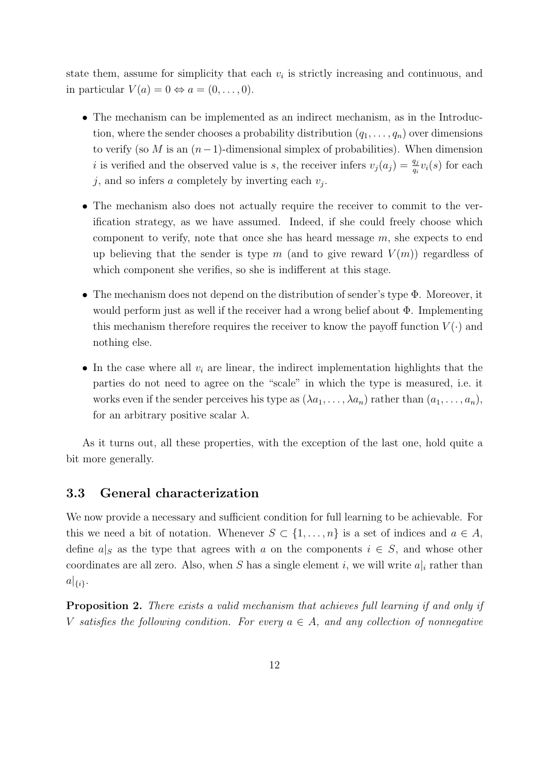state them, assume for simplicity that each  $v_i$  is strictly increasing and continuous, and in particular  $V(a) = 0 \Leftrightarrow a = (0, \ldots, 0).$ 

- The mechanism can be implemented as an indirect mechanism, as in the Introduction, where the sender chooses a probability distribution  $(q_1, \ldots, q_n)$  over dimensions to verify (so M is an  $(n-1)$ -dimensional simplex of probabilities). When dimension i is verified and the observed value is s, the receiver infers  $v_j(a_j) = \frac{q_j}{q_i} v_i(s)$  for each j, and so infers a completely by inverting each  $v_j$ .
- The mechanism also does not actually require the receiver to commit to the verification strategy, as we have assumed. Indeed, if she could freely choose which component to verify, note that once she has heard message  $m$ , she expects to end up believing that the sender is type m (and to give reward  $V(m)$ ) regardless of which component she verifies, so she is indifferent at this stage.
- The mechanism does not depend on the distribution of sender's type Φ. Moreover, it would perform just as well if the receiver had a wrong belief about Φ. Implementing this mechanism therefore requires the receiver to know the payoff function  $V(\cdot)$  and nothing else.
- In the case where all  $v_i$  are linear, the indirect implementation highlights that the parties do not need to agree on the "scale" in which the type is measured, i.e. it works even if the sender perceives his type as  $(\lambda a_1, \ldots, \lambda a_n)$  rather than  $(a_1, \ldots, a_n)$ , for an arbitrary positive scalar  $\lambda$ .

As it turns out, all these properties, with the exception of the last one, hold quite a bit more generally.

#### 3.3 General characterization

We now provide a necessary and sufficient condition for full learning to be achievable. For this we need a bit of notation. Whenever  $S \subset \{1, \ldots, n\}$  is a set of indices and  $a \in A$ , define  $a|_S$  as the type that agrees with a on the components  $i \in S$ , and whose other coordinates are all zero. Also, when S has a single element i, we will write  $a|_i$  rather than  $a|_{\{i\}}.$ 

Proposition 2. There exists a valid mechanism that achieves full learning if and only if V satisfies the following condition. For every  $a \in A$ , and any collection of nonnegative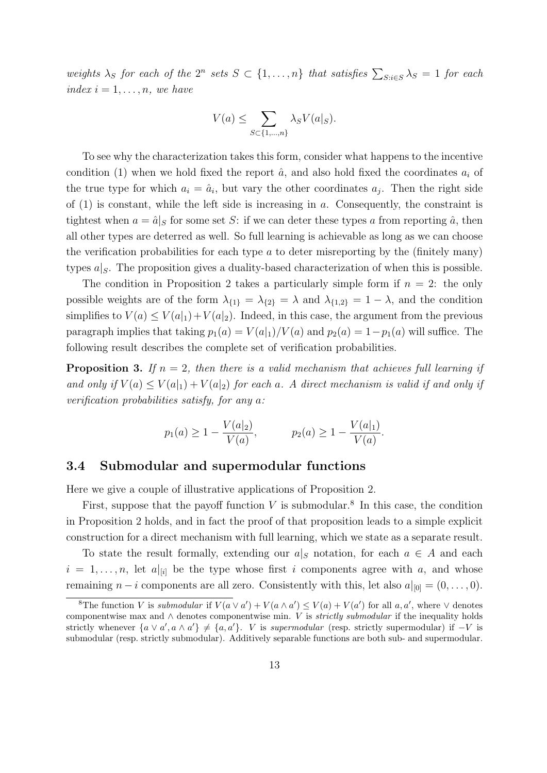weights  $\lambda_S$  for each of the  $2^n$  sets  $S \subset \{1, \ldots, n\}$  that satisfies  $\sum_{S:i\in S} \lambda_S = 1$  for each index  $i = 1, \ldots, n$ , we have

$$
V(a) \le \sum_{S \subset \{1,\dots,n\}} \lambda_S V(a|_S).
$$

To see why the characterization takes this form, consider what happens to the incentive condition (1) when we hold fixed the report  $\hat{a}$ , and also hold fixed the coordinates  $a_i$  of the true type for which  $a_i = \hat{a}_i$ , but vary the other coordinates  $a_j$ . Then the right side of  $(1)$  is constant, while the left side is increasing in a. Consequently, the constraint is tightest when  $a = \hat{a}|_S$  for some set S: if we can deter these types a from reporting  $\hat{a}$ , then all other types are deterred as well. So full learning is achievable as long as we can choose the verification probabilities for each type  $\alpha$  to deter misreporting by the (finitely many) types  $a|_S$ . The proposition gives a duality-based characterization of when this is possible.

The condition in Proposition 2 takes a particularly simple form if  $n = 2$ : the only possible weights are of the form  $\lambda_{\{1\}} = \lambda_{\{2\}} = \lambda$  and  $\lambda_{\{1,2\}} = 1 - \lambda$ , and the condition simplifies to  $V(a) \leq V(a|_1) + V(a|_2)$ . Indeed, in this case, the argument from the previous paragraph implies that taking  $p_1(a) = V(a|_1)/V(a)$  and  $p_2(a) = 1-p_1(a)$  will suffice. The following result describes the complete set of verification probabilities.

**Proposition 3.** If  $n = 2$ , then there is a valid mechanism that achieves full learning if and only if  $V(a) \leq V(a|_1) + V(a|_2)$  for each a. A direct mechanism is valid if and only if verification probabilities satisfy, for any a:

$$
p_1(a) \ge 1 - \frac{V(a|_2)}{V(a)},
$$
  $p_2(a) \ge 1 - \frac{V(a|_1)}{V(a)}.$ 

#### 3.4 Submodular and supermodular functions

Here we give a couple of illustrative applications of Proposition 2.

First, suppose that the payoff function  $V$  is submodular.<sup>8</sup> In this case, the condition in Proposition 2 holds, and in fact the proof of that proposition leads to a simple explicit construction for a direct mechanism with full learning, which we state as a separate result.

To state the result formally, extending our  $a|_S$  notation, for each  $a \in A$  and each  $i = 1, \ldots, n$ , let  $a|_{[i]}$  be the type whose first i components agree with a, and whose remaining  $n - i$  components are all zero. Consistently with this, let also  $a|_{[0]} = (0, \ldots, 0)$ .

<sup>&</sup>lt;sup>8</sup>The function V is *submodular* if  $V(a \vee a') + V(a \wedge a') \leq V(a) + V(a')$  for all  $a, a'$ , where  $\vee$  denotes componentwise max and  $\land$  denotes componentwise min. V is *strictly submodular* if the inequality holds strictly whenever  $\{a \lor a', a \land a'\} \neq \{a, a'\}.$  V is supermodular (resp. strictly supermodular) if  $-V$  is submodular (resp. strictly submodular). Additively separable functions are both sub- and supermodular.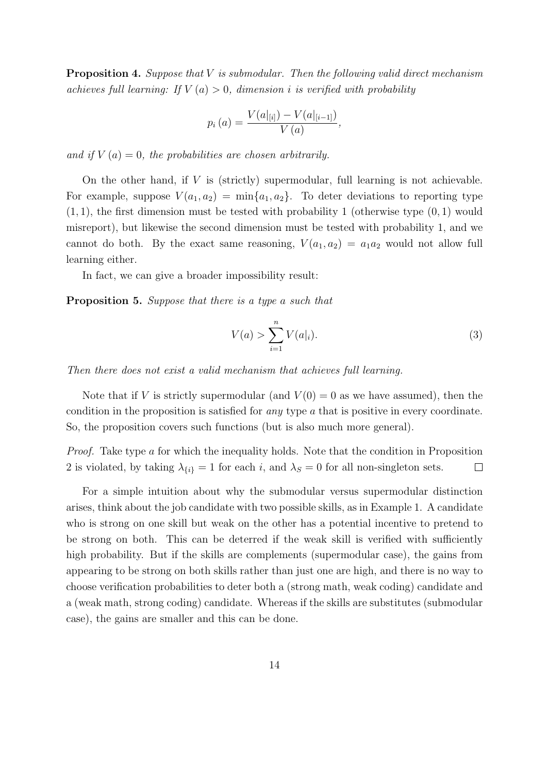**Proposition 4.** Suppose that V is submodular. Then the following valid direct mechanism achieves full learning: If  $V(a) > 0$ , dimension i is verified with probability

$$
p_i(a) = \frac{V(a|_{[i]}) - V(a|_{[i-1]})}{V(a)},
$$

and if  $V(a) = 0$ , the probabilities are chosen arbitrarily.

On the other hand, if  $V$  is (strictly) supermodular, full learning is not achievable. For example, suppose  $V(a_1, a_2) = \min\{a_1, a_2\}$ . To deter deviations to reporting type  $(1, 1)$ , the first dimension must be tested with probability 1 (otherwise type  $(0, 1)$ ) would misreport), but likewise the second dimension must be tested with probability 1, and we cannot do both. By the exact same reasoning,  $V(a_1, a_2) = a_1 a_2$  would not allow full learning either.

In fact, we can give a broader impossibility result:

Proposition 5. Suppose that there is a type a such that

$$
V(a) > \sum_{i=1}^{n} V(a|_i).
$$
 (3)

Then there does not exist a valid mechanism that achieves full learning.

Note that if V is strictly supermodular (and  $V(0) = 0$  as we have assumed), then the condition in the proposition is satisfied for any type a that is positive in every coordinate. So, the proposition covers such functions (but is also much more general).

Proof. Take type a for which the inequality holds. Note that the condition in Proposition 2 is violated, by taking  $\lambda_{\{i\}} = 1$  for each i, and  $\lambda_S = 0$  for all non-singleton sets.  $\Box$ 

For a simple intuition about why the submodular versus supermodular distinction arises, think about the job candidate with two possible skills, as in Example 1. A candidate who is strong on one skill but weak on the other has a potential incentive to pretend to be strong on both. This can be deterred if the weak skill is verified with sufficiently high probability. But if the skills are complements (supermodular case), the gains from appearing to be strong on both skills rather than just one are high, and there is no way to choose verification probabilities to deter both a (strong math, weak coding) candidate and a (weak math, strong coding) candidate. Whereas if the skills are substitutes (submodular case), the gains are smaller and this can be done.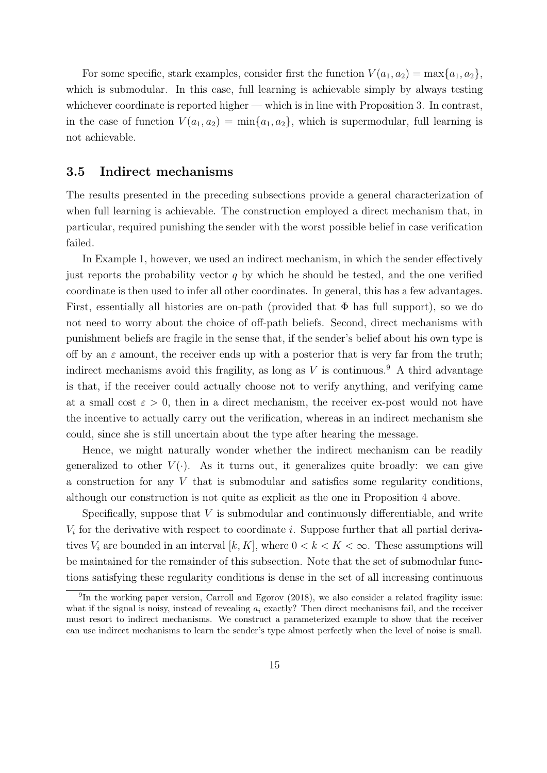For some specific, stark examples, consider first the function  $V(a_1, a_2) = \max\{a_1, a_2\}$ , which is submodular. In this case, full learning is achievable simply by always testing whichever coordinate is reported higher — which is in line with Proposition 3. In contrast, in the case of function  $V(a_1, a_2) = \min\{a_1, a_2\}$ , which is supermodular, full learning is not achievable.

#### 3.5 Indirect mechanisms

The results presented in the preceding subsections provide a general characterization of when full learning is achievable. The construction employed a direct mechanism that, in particular, required punishing the sender with the worst possible belief in case verification failed.

In Example 1, however, we used an indirect mechanism, in which the sender effectively just reports the probability vector  $q$  by which he should be tested, and the one verified coordinate is then used to infer all other coordinates. In general, this has a few advantages. First, essentially all histories are on-path (provided that  $\Phi$  has full support), so we do not need to worry about the choice of off-path beliefs. Second, direct mechanisms with punishment beliefs are fragile in the sense that, if the sender's belief about his own type is off by an  $\varepsilon$  amount, the receiver ends up with a posterior that is very far from the truth; indirect mechanisms avoid this fragility, as long as  $V$  is continuous.<sup>9</sup> A third advantage is that, if the receiver could actually choose not to verify anything, and verifying came at a small cost  $\varepsilon > 0$ , then in a direct mechanism, the receiver ex-post would not have the incentive to actually carry out the verification, whereas in an indirect mechanism she could, since she is still uncertain about the type after hearing the message.

Hence, we might naturally wonder whether the indirect mechanism can be readily generalized to other  $V(\cdot)$ . As it turns out, it generalizes quite broadly: we can give a construction for any V that is submodular and satisfies some regularity conditions, although our construction is not quite as explicit as the one in Proposition 4 above.

Specifically, suppose that  $V$  is submodular and continuously differentiable, and write  $V_i$  for the derivative with respect to coordinate i. Suppose further that all partial derivatives  $V_i$  are bounded in an interval  $[k, K]$ , where  $0 < k < K < \infty$ . These assumptions will be maintained for the remainder of this subsection. Note that the set of submodular functions satisfying these regularity conditions is dense in the set of all increasing continuous

<sup>&</sup>lt;sup>9</sup>In the working paper version, Carroll and Egorov (2018), we also consider a related fragility issue: what if the signal is noisy, instead of revealing  $a_i$  exactly? Then direct mechanisms fail, and the receiver must resort to indirect mechanisms. We construct a parameterized example to show that the receiver can use indirect mechanisms to learn the sender's type almost perfectly when the level of noise is small.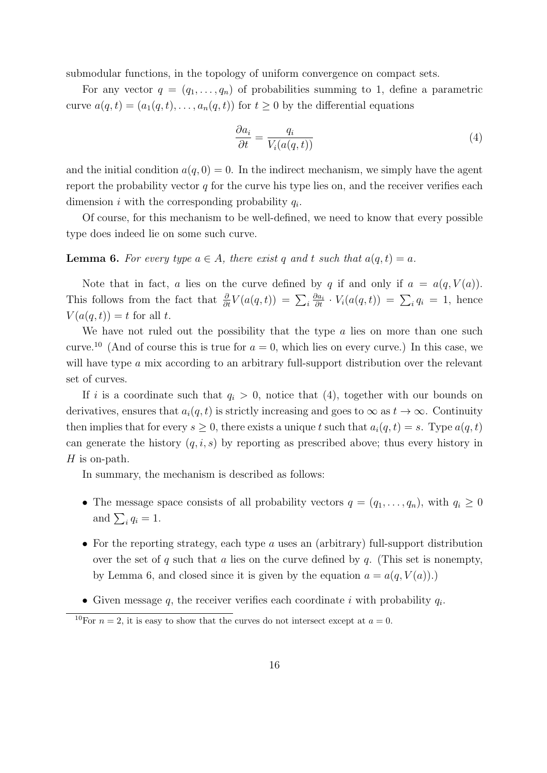submodular functions, in the topology of uniform convergence on compact sets.

For any vector  $q = (q_1, \ldots, q_n)$  of probabilities summing to 1, define a parametric curve  $a(q, t) = (a_1(q, t), \ldots, a_n(q, t))$  for  $t \geq 0$  by the differential equations

$$
\frac{\partial a_i}{\partial t} = \frac{q_i}{V_i(a(q,t))} \tag{4}
$$

and the initial condition  $a(q, 0) = 0$ . In the indirect mechanism, we simply have the agent report the probability vector  $q$  for the curve his type lies on, and the receiver verifies each dimension i with the corresponding probability  $q_i$ .

Of course, for this mechanism to be well-defined, we need to know that every possible type does indeed lie on some such curve.

**Lemma 6.** For every type  $a \in A$ , there exist q and t such that  $a(q, t) = a$ .

Note that in fact, a lies on the curve defined by q if and only if  $a = a(q, V(a))$ . This follows from the fact that  $\frac{\partial}{\partial t}V(a(q,t)) = \sum_i \frac{\partial a_i}{\partial t} \cdot V_i(a(q,t)) = \sum_i q_i = 1$ , hence  $V(a(q,t)) = t$  for all t.

We have not ruled out the possibility that the type  $a$  lies on more than one such curve.<sup>10</sup> (And of course this is true for  $a = 0$ , which lies on every curve.) In this case, we will have type a mix according to an arbitrary full-support distribution over the relevant set of curves.

If i is a coordinate such that  $q_i > 0$ , notice that (4), together with our bounds on derivatives, ensures that  $a_i(q, t)$  is strictly increasing and goes to  $\infty$  as  $t \to \infty$ . Continuity then implies that for every  $s \geq 0$ , there exists a unique t such that  $a_i(q, t) = s$ . Type  $a(q, t)$ can generate the history  $(q, i, s)$  by reporting as prescribed above; thus every history in  $H$  is on-path.

In summary, the mechanism is described as follows:

- The message space consists of all probability vectors  $q = (q_1, \ldots, q_n)$ , with  $q_i \geq 0$ and  $\sum_i q_i = 1$ .
- For the reporting strategy, each type a uses an (arbitrary) full-support distribution over the set of q such that a lies on the curve defined by q. (This set is nonempty, by Lemma 6, and closed since it is given by the equation  $a = a(q, V(a))$ .
- Given message  $q$ , the receiver verifies each coordinate i with probability  $q_i$ .

<sup>&</sup>lt;sup>10</sup>For  $n = 2$ , it is easy to show that the curves do not intersect except at  $a = 0$ .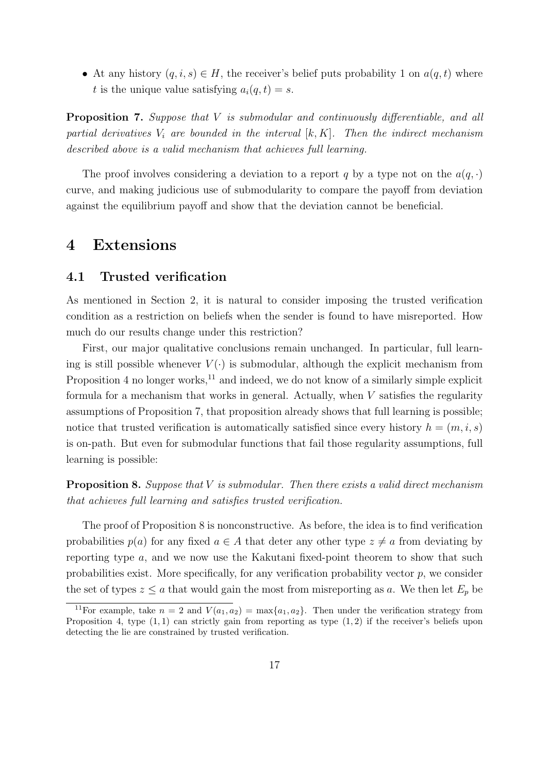• At any history  $(q, i, s) \in H$ , the receiver's belief puts probability 1 on  $a(q, t)$  where t is the unique value satisfying  $a_i(q, t) = s$ .

Proposition 7. Suppose that V is submodular and continuously differentiable, and all partial derivatives  $V_i$  are bounded in the interval  $[k, K]$ . Then the indirect mechanism described above is a valid mechanism that achieves full learning.

The proof involves considering a deviation to a report q by a type not on the  $a(q, \cdot)$ curve, and making judicious use of submodularity to compare the payoff from deviation against the equilibrium payoff and show that the deviation cannot be beneficial.

### 4 Extensions

#### 4.1 Trusted verification

As mentioned in Section 2, it is natural to consider imposing the trusted verification condition as a restriction on beliefs when the sender is found to have misreported. How much do our results change under this restriction?

First, our major qualitative conclusions remain unchanged. In particular, full learning is still possible whenever  $V(\cdot)$  is submodular, although the explicit mechanism from Proposition 4 no longer works, $^{11}$  and indeed, we do not know of a similarly simple explicit formula for a mechanism that works in general. Actually, when  $V$  satisfies the regularity assumptions of Proposition 7, that proposition already shows that full learning is possible; notice that trusted verification is automatically satisfied since every history  $h = (m, i, s)$ is on-path. But even for submodular functions that fail those regularity assumptions, full learning is possible:

**Proposition 8.** Suppose that  $V$  is submodular. Then there exists a valid direct mechanism that achieves full learning and satisfies trusted verification.

The proof of Proposition 8 is nonconstructive. As before, the idea is to find verification probabilities  $p(a)$  for any fixed  $a \in A$  that deter any other type  $z \neq a$  from deviating by reporting type a, and we now use the Kakutani fixed-point theorem to show that such probabilities exist. More specifically, for any verification probability vector  $p$ , we consider the set of types  $z \le a$  that would gain the most from misreporting as a. We then let  $E_p$  be

<sup>&</sup>lt;sup>11</sup>For example, take  $n = 2$  and  $V(a_1, a_2) = \max\{a_1, a_2\}$ . Then under the verification strategy from Proposition 4, type  $(1, 1)$  can strictly gain from reporting as type  $(1, 2)$  if the receiver's beliefs upon detecting the lie are constrained by trusted verification.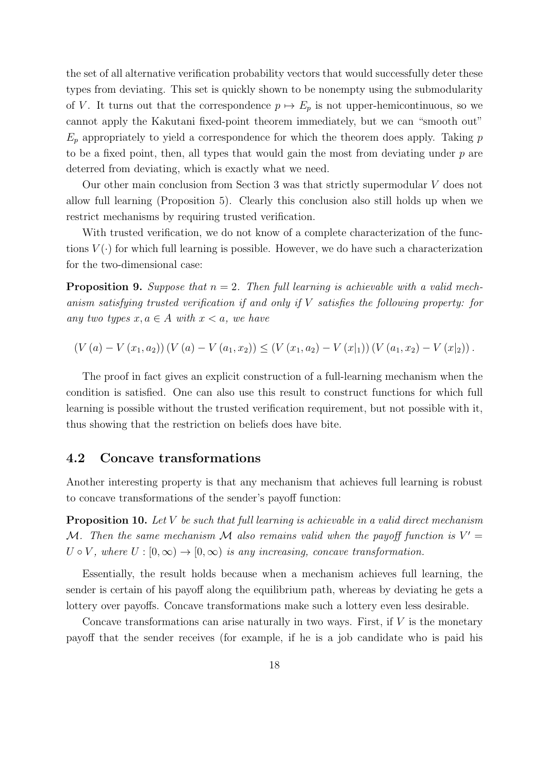the set of all alternative verification probability vectors that would successfully deter these types from deviating. This set is quickly shown to be nonempty using the submodularity of V. It turns out that the correspondence  $p \mapsto E_p$  is not upper-hemicontinuous, so we cannot apply the Kakutani fixed-point theorem immediately, but we can "smooth out"  $E_p$  appropriately to yield a correspondence for which the theorem does apply. Taking p to be a fixed point, then, all types that would gain the most from deviating under  $p$  are deterred from deviating, which is exactly what we need.

Our other main conclusion from Section 3 was that strictly supermodular V does not allow full learning (Proposition 5). Clearly this conclusion also still holds up when we restrict mechanisms by requiring trusted verification.

With trusted verification, we do not know of a complete characterization of the functions  $V(\cdot)$  for which full learning is possible. However, we do have such a characterization for the two-dimensional case:

**Proposition 9.** Suppose that  $n = 2$ . Then full learning is achievable with a valid mechanism satisfying trusted verification if and only if  $V$  satisfies the following property: for any two types  $x, a \in A$  with  $x < a$ , we have

$$
(V(a) - V(x_1, a_2)) (V(a) - V(a_1, x_2)) \le (V(x_1, a_2) - V(x_1)) (V(a_1, x_2) - V(x_2)).
$$

The proof in fact gives an explicit construction of a full-learning mechanism when the condition is satisfied. One can also use this result to construct functions for which full learning is possible without the trusted verification requirement, but not possible with it, thus showing that the restriction on beliefs does have bite.

#### 4.2 Concave transformations

Another interesting property is that any mechanism that achieves full learning is robust to concave transformations of the sender's payoff function:

**Proposition 10.** Let V be such that full learning is achievable in a valid direct mechanism M. Then the same mechanism M also remains valid when the payoff function is  $V' =$  $U \circ V$ , where  $U : [0, \infty) \to [0, \infty)$  is any increasing, concave transformation.

Essentially, the result holds because when a mechanism achieves full learning, the sender is certain of his payoff along the equilibrium path, whereas by deviating he gets a lottery over payoffs. Concave transformations make such a lottery even less desirable.

Concave transformations can arise naturally in two ways. First, if  $V$  is the monetary payoff that the sender receives (for example, if he is a job candidate who is paid his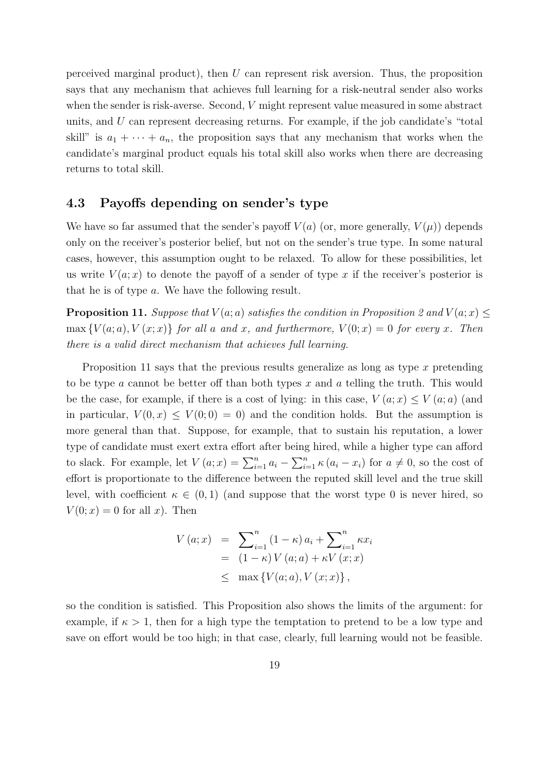perceived marginal product), then U can represent risk aversion. Thus, the proposition says that any mechanism that achieves full learning for a risk-neutral sender also works when the sender is risk-averse. Second, V might represent value measured in some abstract units, and U can represent decreasing returns. For example, if the job candidate's "total skill" is  $a_1 + \cdots + a_n$ , the proposition says that any mechanism that works when the candidate's marginal product equals his total skill also works when there are decreasing returns to total skill.

#### 4.3 Payoffs depending on sender's type

We have so far assumed that the sender's payoff  $V(a)$  (or, more generally,  $V(\mu)$ ) depends only on the receiver's posterior belief, but not on the sender's true type. In some natural cases, however, this assumption ought to be relaxed. To allow for these possibilities, let us write  $V(a; x)$  to denote the payoff of a sender of type x if the receiver's posterior is that he is of type a. We have the following result.

**Proposition 11.** Suppose that  $V(a; a)$  satisfies the condition in Proposition 2 and  $V(a; x) \leq$  $\max \{V(a; a), V(x; x)\}\$  for all a and x, and furthermore,  $V(0; x) = 0$  for every x. Then there is a valid direct mechanism that achieves full learning.

Proposition 11 says that the previous results generalize as long as type  $x$  pretending to be type a cannot be better off than both types x and a telling the truth. This would be the case, for example, if there is a cost of lying: in this case,  $V(a; x) \leq V(a; a)$  (and in particular,  $V(0, x) \leq V(0, 0) = 0$  and the condition holds. But the assumption is more general than that. Suppose, for example, that to sustain his reputation, a lower type of candidate must exert extra effort after being hired, while a higher type can afford to slack. For example, let  $V(a; x) = \sum_{i=1}^{n} a_i - \sum_{i=1}^{n} \kappa (a_i - x_i)$  for  $a \neq 0$ , so the cost of effort is proportionate to the difference between the reputed skill level and the true skill level, with coefficient  $\kappa \in (0,1)$  (and suppose that the worst type 0 is never hired, so  $V(0; x) = 0$  for all x. Then

$$
V (a; x) = \sum_{i=1}^{n} (1 - \kappa) a_i + \sum_{i=1}^{n} \kappa x_i
$$
  
= (1 - \kappa) V (a; a) + \kappa V (x; x)  

$$
\leq \max \{ V(a; a), V (x; x) \},
$$

so the condition is satisfied. This Proposition also shows the limits of the argument: for example, if  $\kappa > 1$ , then for a high type the temptation to pretend to be a low type and save on effort would be too high; in that case, clearly, full learning would not be feasible.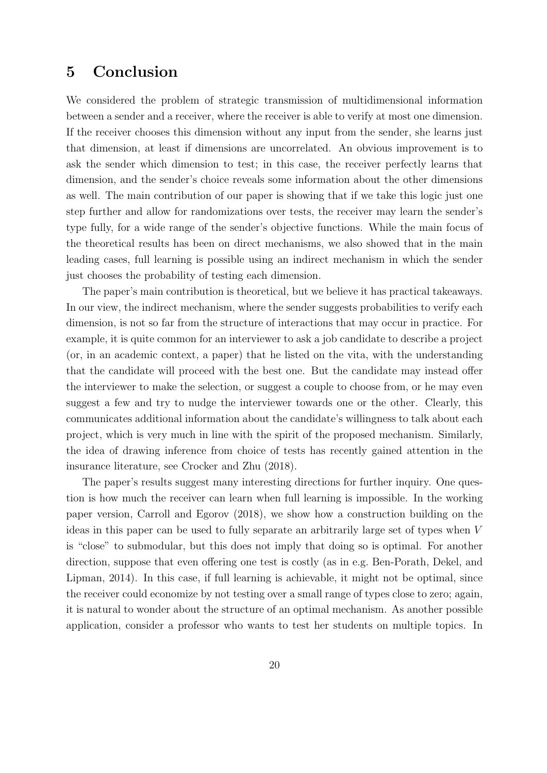## 5 Conclusion

We considered the problem of strategic transmission of multidimensional information between a sender and a receiver, where the receiver is able to verify at most one dimension. If the receiver chooses this dimension without any input from the sender, she learns just that dimension, at least if dimensions are uncorrelated. An obvious improvement is to ask the sender which dimension to test; in this case, the receiver perfectly learns that dimension, and the sender's choice reveals some information about the other dimensions as well. The main contribution of our paper is showing that if we take this logic just one step further and allow for randomizations over tests, the receiver may learn the sender's type fully, for a wide range of the sender's objective functions. While the main focus of the theoretical results has been on direct mechanisms, we also showed that in the main leading cases, full learning is possible using an indirect mechanism in which the sender just chooses the probability of testing each dimension.

The paper's main contribution is theoretical, but we believe it has practical takeaways. In our view, the indirect mechanism, where the sender suggests probabilities to verify each dimension, is not so far from the structure of interactions that may occur in practice. For example, it is quite common for an interviewer to ask a job candidate to describe a project (or, in an academic context, a paper) that he listed on the vita, with the understanding that the candidate will proceed with the best one. But the candidate may instead offer the interviewer to make the selection, or suggest a couple to choose from, or he may even suggest a few and try to nudge the interviewer towards one or the other. Clearly, this communicates additional information about the candidate's willingness to talk about each project, which is very much in line with the spirit of the proposed mechanism. Similarly, the idea of drawing inference from choice of tests has recently gained attention in the insurance literature, see Crocker and Zhu (2018).

The paper's results suggest many interesting directions for further inquiry. One question is how much the receiver can learn when full learning is impossible. In the working paper version, Carroll and Egorov (2018), we show how a construction building on the ideas in this paper can be used to fully separate an arbitrarily large set of types when V is "close" to submodular, but this does not imply that doing so is optimal. For another direction, suppose that even offering one test is costly (as in e.g. Ben-Porath, Dekel, and Lipman, 2014). In this case, if full learning is achievable, it might not be optimal, since the receiver could economize by not testing over a small range of types close to zero; again, it is natural to wonder about the structure of an optimal mechanism. As another possible application, consider a professor who wants to test her students on multiple topics. In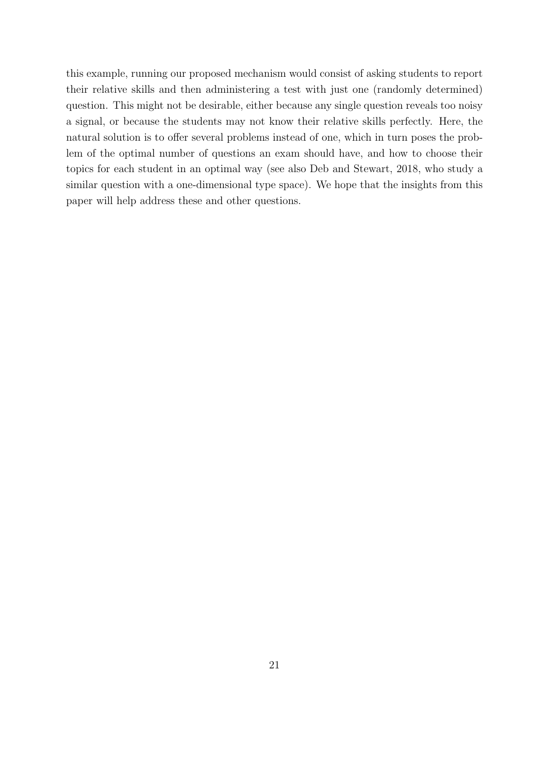this example, running our proposed mechanism would consist of asking students to report their relative skills and then administering a test with just one (randomly determined) question. This might not be desirable, either because any single question reveals too noisy a signal, or because the students may not know their relative skills perfectly. Here, the natural solution is to offer several problems instead of one, which in turn poses the problem of the optimal number of questions an exam should have, and how to choose their topics for each student in an optimal way (see also Deb and Stewart, 2018, who study a similar question with a one-dimensional type space). We hope that the insights from this paper will help address these and other questions.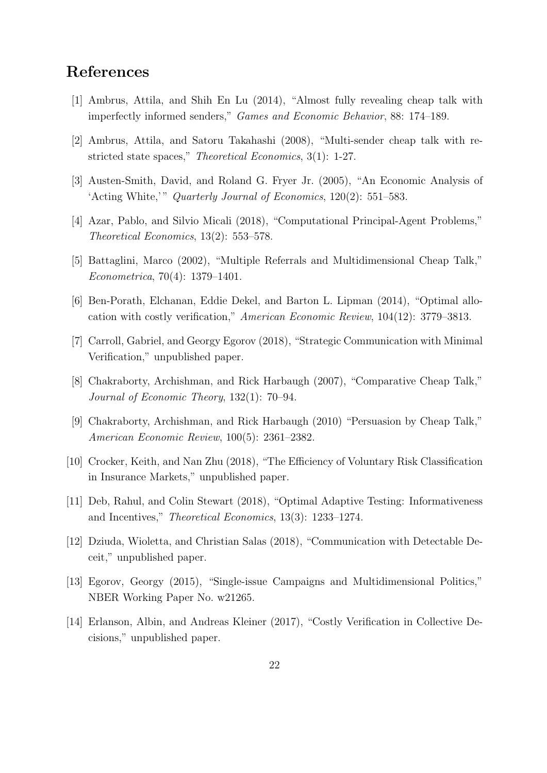## References

- [1] Ambrus, Attila, and Shih En Lu (2014), "Almost fully revealing cheap talk with imperfectly informed senders," Games and Economic Behavior, 88: 174–189.
- [2] Ambrus, Attila, and Satoru Takahashi (2008), "Multi-sender cheap talk with restricted state spaces," Theoretical Economics, 3(1): 1-27.
- [3] Austen-Smith, David, and Roland G. Fryer Jr. (2005), "An Economic Analysis of 'Acting White,'" Quarterly Journal of Economics, 120(2): 551-583.
- [4] Azar, Pablo, and Silvio Micali (2018), "Computational Principal-Agent Problems," Theoretical Economics, 13(2): 553–578.
- [5] Battaglini, Marco (2002), "Multiple Referrals and Multidimensional Cheap Talk," Econometrica, 70(4): 1379–1401.
- [6] Ben-Porath, Elchanan, Eddie Dekel, and Barton L. Lipman (2014), "Optimal allocation with costly verification," American Economic Review, 104(12): 3779–3813.
- [7] Carroll, Gabriel, and Georgy Egorov (2018), "Strategic Communication with Minimal Verification," unpublished paper.
- [8] Chakraborty, Archishman, and Rick Harbaugh (2007), "Comparative Cheap Talk," Journal of Economic Theory, 132(1): 70–94.
- [9] Chakraborty, Archishman, and Rick Harbaugh (2010) "Persuasion by Cheap Talk," American Economic Review, 100(5): 2361–2382.
- [10] Crocker, Keith, and Nan Zhu (2018), "The Efficiency of Voluntary Risk Classification in Insurance Markets," unpublished paper.
- [11] Deb, Rahul, and Colin Stewart (2018), "Optimal Adaptive Testing: Informativeness and Incentives," Theoretical Economics, 13(3): 1233–1274.
- [12] Dziuda, Wioletta, and Christian Salas (2018), "Communication with Detectable Deceit," unpublished paper.
- [13] Egorov, Georgy (2015), "Single-issue Campaigns and Multidimensional Politics," NBER Working Paper No. w21265.
- [14] Erlanson, Albin, and Andreas Kleiner (2017), "Costly Verification in Collective Decisions," unpublished paper.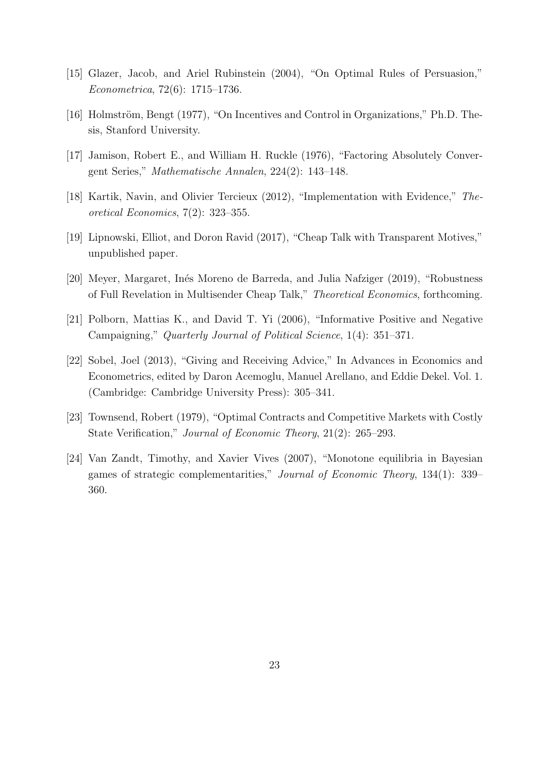- [15] Glazer, Jacob, and Ariel Rubinstein (2004), "On Optimal Rules of Persuasion," Econometrica, 72(6): 1715–1736.
- [16] Holmström, Bengt (1977), "On Incentives and Control in Organizations," Ph.D. Thesis, Stanford University.
- [17] Jamison, Robert E., and William H. Ruckle (1976), "Factoring Absolutely Convergent Series," Mathematische Annalen, 224(2): 143–148.
- [18] Kartik, Navin, and Olivier Tercieux (2012), "Implementation with Evidence," Theoretical Economics, 7(2): 323–355.
- [19] Lipnowski, Elliot, and Doron Ravid (2017), "Cheap Talk with Transparent Motives," unpublished paper.
- [20] Meyer, Margaret, Inés Moreno de Barreda, and Julia Nafziger (2019), "Robustness" of Full Revelation in Multisender Cheap Talk," Theoretical Economics, forthcoming.
- [21] Polborn, Mattias K., and David T. Yi (2006), "Informative Positive and Negative Campaigning," Quarterly Journal of Political Science, 1(4): 351–371.
- [22] Sobel, Joel (2013), "Giving and Receiving Advice," In Advances in Economics and Econometrics, edited by Daron Acemoglu, Manuel Arellano, and Eddie Dekel. Vol. 1. (Cambridge: Cambridge University Press): 305–341.
- [23] Townsend, Robert (1979), "Optimal Contracts and Competitive Markets with Costly State Verification," Journal of Economic Theory, 21(2): 265–293.
- [24] Van Zandt, Timothy, and Xavier Vives (2007), "Monotone equilibria in Bayesian games of strategic complementarities," Journal of Economic Theory, 134(1): 339– 360.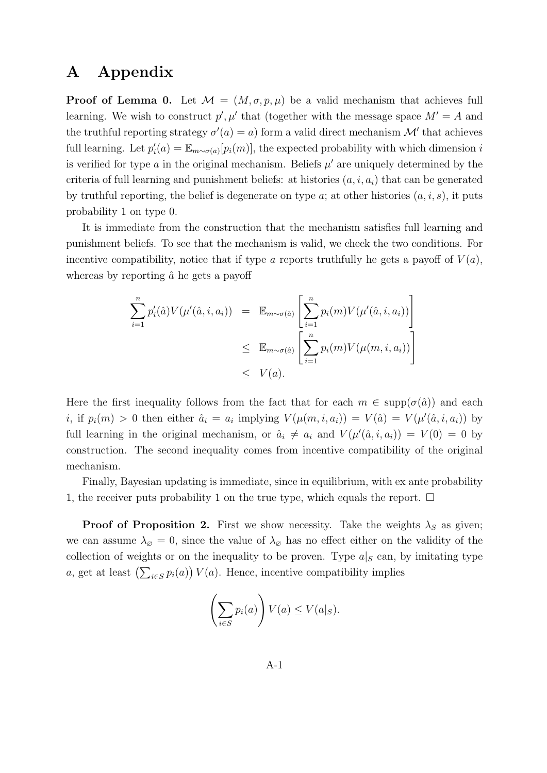## A Appendix

**Proof of Lemma 0.** Let  $\mathcal{M} = (M, \sigma, p, \mu)$  be a valid mechanism that achieves full learning. We wish to construct  $p', \mu'$  that (together with the message space  $M' = A$  and the truthful reporting strategy  $\sigma'(a) = a$  form a valid direct mechanism M' that achieves full learning. Let  $p_i'(a) = \mathbb{E}_{m \sim \sigma(a)}[p_i(m)]$ , the expected probability with which dimension i is verified for type  $a$  in the original mechanism. Beliefs  $\mu'$  are uniquely determined by the criteria of full learning and punishment beliefs: at histories  $(a, i, a_i)$  that can be generated by truthful reporting, the belief is degenerate on type  $a$ ; at other histories  $(a, i, s)$ , it puts probability 1 on type 0.

It is immediate from the construction that the mechanism satisfies full learning and punishment beliefs. To see that the mechanism is valid, we check the two conditions. For incentive compatibility, notice that if type a reports truthfully he gets a payoff of  $V(a)$ , whereas by reporting  $\hat{a}$  he gets a payoff

$$
\sum_{i=1}^{n} p'_i(\hat{a}) V(\mu'(\hat{a}, i, a_i)) = \mathbb{E}_{m \sim \sigma(\hat{a})} \left[ \sum_{i=1}^{n} p_i(m) V(\mu'(\hat{a}, i, a_i)) \right]
$$
  

$$
\leq \mathbb{E}_{m \sim \sigma(\hat{a})} \left[ \sum_{i=1}^{n} p_i(m) V(\mu(m, i, a_i)) \right]
$$
  

$$
\leq V(a).
$$

Here the first inequality follows from the fact that for each  $m \in \text{supp}(\sigma(\hat{a}))$  and each *i*, if  $p_i(m) > 0$  then either  $\hat{a}_i = a_i$  implying  $V(\mu(m, i, a_i)) = V(\hat{a}) = V(\mu'(\hat{a}, i, a_i))$  by full learning in the original mechanism, or  $\hat{a}_i \neq a_i$  and  $V(\mu'(\hat{a}, i, a_i)) = V(0) = 0$  by construction. The second inequality comes from incentive compatibility of the original mechanism.

Finally, Bayesian updating is immediate, since in equilibrium, with ex ante probability 1, the receiver puts probability 1 on the true type, which equals the report.  $\Box$ 

**Proof of Proposition 2.** First we show necessity. Take the weights  $\lambda_S$  as given; we can assume  $\lambda_{\emptyset} = 0$ , since the value of  $\lambda_{\emptyset}$  has no effect either on the validity of the collection of weights or on the inequality to be proven. Type  $a|_{S}$  can, by imitating type a, get at least  $\left(\sum_{i\in S} p_i(a)\right) V(a)$ . Hence, incentive compatibility implies

$$
\left(\sum_{i\in S} p_i(a)\right) V(a) \le V(a|_S).
$$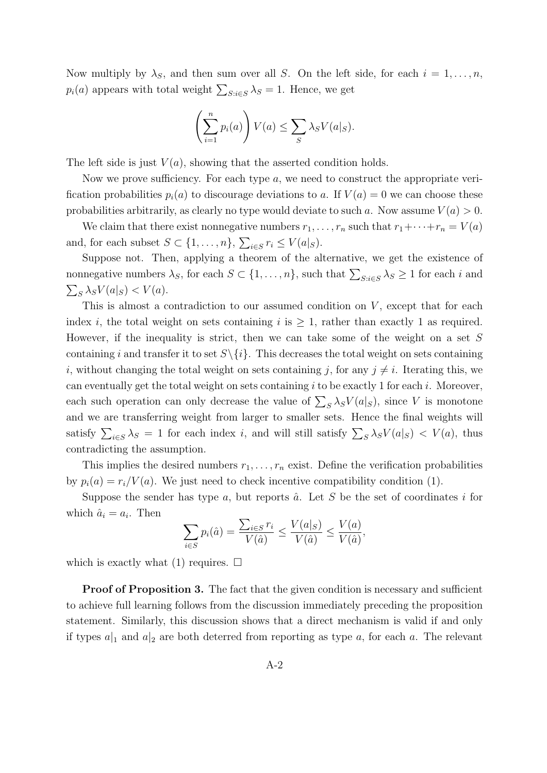Now multiply by  $\lambda_S$ , and then sum over all S. On the left side, for each  $i = 1, \ldots, n$ ,  $p_i(a)$  appears with total weight  $\sum_{S:i\in S} \lambda_S = 1$ . Hence, we get

$$
\left(\sum_{i=1}^n p_i(a)\right) V(a) \le \sum_S \lambda_S V(a|_S).
$$

The left side is just  $V(a)$ , showing that the asserted condition holds.

Now we prove sufficiency. For each type  $a$ , we need to construct the appropriate verification probabilities  $p_i(a)$  to discourage deviations to a. If  $V(a) = 0$  we can choose these probabilities arbitrarily, as clearly no type would deviate to such a. Now assume  $V(a) > 0$ .

We claim that there exist nonnegative numbers  $r_1, \ldots, r_n$  such that  $r_1 + \cdots + r_n = V(a)$ and, for each subset  $S \subset \{1, \ldots, n\}$ ,  $\sum_{i \in S} r_i \leq V(a|_S)$ .

Suppose not. Then, applying a theorem of the alternative, we get the existence of nonnegative numbers  $\lambda_S$ , for each  $S \subset \{1, \ldots, n\}$ , such that  $\sum_{S:i\in S} \lambda_S \ge 1$  for each i and  $\sum_{S} \lambda_S V(a|_S) < V(a)$ .

This is almost a contradiction to our assumed condition on  $V$ , except that for each index i, the total weight on sets containing i is  $\geq 1$ , rather than exactly 1 as required. However, if the inequality is strict, then we can take some of the weight on a set  $S$ containing i and transfer it to set  $S \setminus \{i\}$ . This decreases the total weight on sets containing i, without changing the total weight on sets containing j, for any  $i \neq i$ . Iterating this, we can eventually get the total weight on sets containing  $i$  to be exactly 1 for each  $i$ . Moreover, each such operation can only decrease the value of  $\sum_{S} \lambda_S V(a|_S)$ , since V is monotone and we are transferring weight from larger to smaller sets. Hence the final weights will satisfy  $\sum_{i\in S}\lambda_S = 1$  for each index i, and will still satisfy  $\sum_S \lambda_S V(a|_S) < V(a)$ , thus contradicting the assumption.

This implies the desired numbers  $r_1, \ldots, r_n$  exist. Define the verification probabilities by  $p_i(a) = r_i/V(a)$ . We just need to check incentive compatibility condition (1).

Suppose the sender has type a, but reports  $\hat{a}$ . Let S be the set of coordinates i for which  $\hat{a}_i = a_i$ . Then

$$
\sum_{i \in S} p_i(\hat{a}) = \frac{\sum_{i \in S} r_i}{V(\hat{a})} \le \frac{V(a|_S)}{V(\hat{a})} \le \frac{V(a)}{V(\hat{a})},
$$

which is exactly what (1) requires.  $\Box$ 

Proof of Proposition 3. The fact that the given condition is necessary and sufficient to achieve full learning follows from the discussion immediately preceding the proposition statement. Similarly, this discussion shows that a direct mechanism is valid if and only if types  $a|_1$  and  $a|_2$  are both deterred from reporting as type a, for each a. The relevant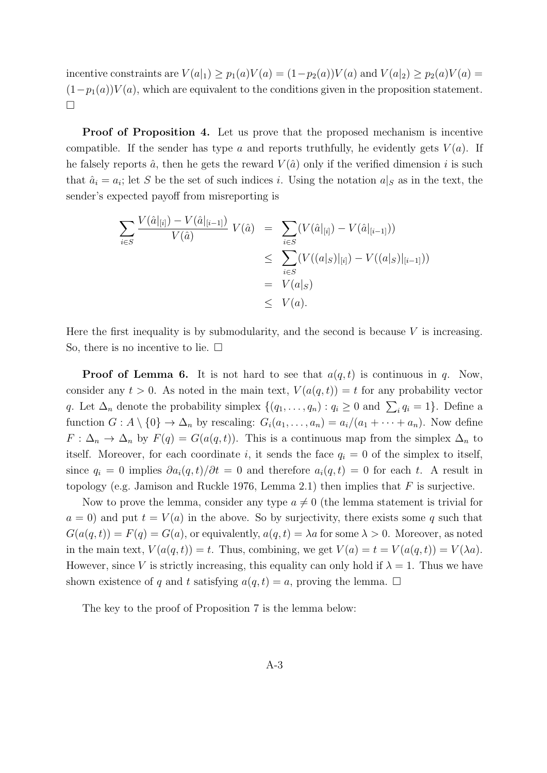incentive constraints are  $V(a|_1) \ge p_1(a)V(a) = (1-p_2(a))V(a)$  and  $V(a|_2) \ge p_2(a)V(a)$  $(1-p_1(a))V(a)$ , which are equivalent to the conditions given in the proposition statement.  $\Box$ 

Proof of Proposition 4. Let us prove that the proposed mechanism is incentive compatible. If the sender has type a and reports truthfully, he evidently gets  $V(a)$ . If he falsely reports  $\hat{a}$ , then he gets the reward  $V(\hat{a})$  only if the verified dimension i is such that  $\hat{a}_i = a_i$ ; let S be the set of such indices i. Using the notation  $a|_S$  as in the text, the sender's expected payoff from misreporting is

$$
\sum_{i \in S} \frac{V(\hat{a}|_{[i]}) - V(\hat{a}|_{[i-1]})}{V(\hat{a})} V(\hat{a}) = \sum_{i \in S} (V(\hat{a}|_{[i]}) - V(\hat{a}|_{[i-1]}))
$$
  

$$
\leq \sum_{i \in S} (V((a|_{S})|_{[i]}) - V((a|_{S})|_{[i-1]}))
$$
  

$$
= V(a|_{S})
$$
  

$$
\leq V(a).
$$

Here the first inequality is by submodularity, and the second is because  $V$  is increasing. So, there is no incentive to lie.  $\square$ 

**Proof of Lemma 6.** It is not hard to see that  $a(q, t)$  is continuous in q. Now, consider any  $t > 0$ . As noted in the main text,  $V(a(q, t)) = t$  for any probability vector q. Let  $\Delta_n$  denote the probability simplex  $\{(q_1, \ldots, q_n) : q_i \geq 0 \text{ and } \sum_i q_i = 1\}.$  Define a function  $G: A \setminus \{0\} \to \Delta_n$  by rescaling:  $G_i(a_1, \ldots, a_n) = a_i/(a_1 + \cdots + a_n)$ . Now define  $F: \Delta_n \to \Delta_n$  by  $F(q) = G(a(q,t))$ . This is a continuous map from the simplex  $\Delta_n$  to itself. Moreover, for each coordinate i, it sends the face  $q_i = 0$  of the simplex to itself, since  $q_i = 0$  implies  $\partial a_i(q, t)/\partial t = 0$  and therefore  $a_i(q, t) = 0$  for each t. A result in topology (e.g. Jamison and Ruckle 1976, Lemma 2.1) then implies that  $F$  is surjective.

Now to prove the lemma, consider any type  $a \neq 0$  (the lemma statement is trivial for  $a = 0$ ) and put  $t = V(a)$  in the above. So by surjectivity, there exists some q such that  $G(a(q,t)) = F(q) = G(a)$ , or equivalently,  $a(q,t) = \lambda a$  for some  $\lambda > 0$ . Moreover, as noted in the main text,  $V(a(q, t)) = t$ . Thus, combining, we get  $V(a) = t = V(a(q, t)) = V(\lambda a)$ . However, since V is strictly increasing, this equality can only hold if  $\lambda = 1$ . Thus we have shown existence of q and t satisfying  $a(q, t) = a$ , proving the lemma.  $\Box$ 

The key to the proof of Proposition 7 is the lemma below: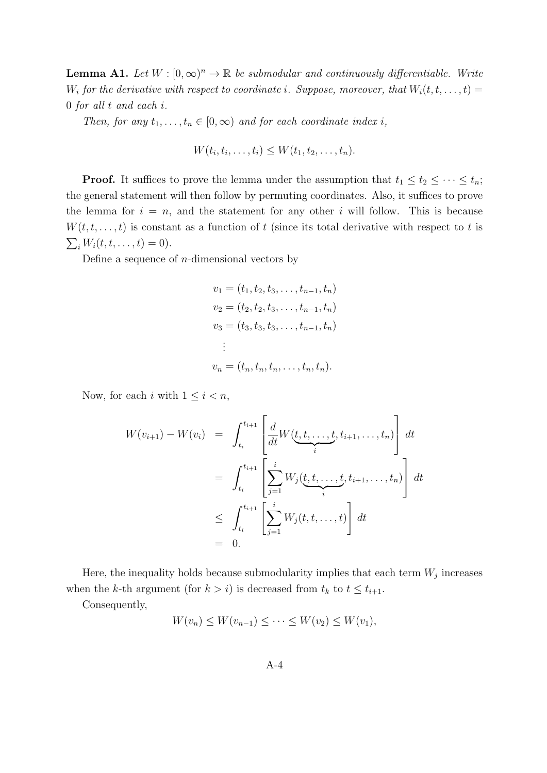**Lemma A1.** Let  $W : [0, \infty)^n \to \mathbb{R}$  be submodular and continuously differentiable. Write  $W_i$  for the derivative with respect to coordinate i. Suppose, moreover, that  $W_i(t,t,\ldots,t)$ 0 for all t and each i.

Then, for any  $t_1, \ldots, t_n \in [0, \infty)$  and for each coordinate index i,

$$
W(t_i, t_i, \ldots, t_i) \leq W(t_1, t_2, \ldots, t_n).
$$

**Proof.** It suffices to prove the lemma under the assumption that  $t_1 \leq t_2 \leq \cdots \leq t_n$ ; the general statement will then follow by permuting coordinates. Also, it suffices to prove the lemma for  $i = n$ , and the statement for any other i will follow. This is because  $W(t, t, \ldots, t)$  is constant as a function of t (since its total derivative with respect to t is  $\sum_i W_i(t, t, \dots, t) = 0$ .

Define a sequence of  $n$ -dimensional vectors by

$$
v_1 = (t_1, t_2, t_3, \dots, t_{n-1}, t_n)
$$
  
\n
$$
v_2 = (t_2, t_2, t_3, \dots, t_{n-1}, t_n)
$$
  
\n
$$
v_3 = (t_3, t_3, t_3, \dots, t_{n-1}, t_n)
$$
  
\n
$$
\vdots
$$
  
\n
$$
v_n = (t_n, t_n, t_n, \dots, t_n, t_n).
$$

Now, for each i with  $1 \leq i < n$ ,

$$
W(v_{i+1}) - W(v_i) = \int_{t_i}^{t_{i+1}} \left[ \frac{d}{dt} W(\underbrace{t, t, \dots, t}_{i}, t_{i+1}, \dots, t_n) \right] dt
$$
  
\n
$$
= \int_{t_i}^{t_{i+1}} \left[ \sum_{j=1}^{i} W_j(\underbrace{t, t, \dots, t}_{i}, t_{i+1}, \dots, t_n) \right] dt
$$
  
\n
$$
\leq \int_{t_i}^{t_{i+1}} \left[ \sum_{j=1}^{i} W_j(t, t, \dots, t) \right] dt
$$
  
\n
$$
= 0.
$$

Here, the inequality holds because submodularity implies that each term  $W_j$  increases when the k-th argument (for  $k > i$ ) is decreased from  $t_k$  to  $t \leq t_{i+1}$ .

Consequently,

$$
W(v_n) \le W(v_{n-1}) \le \cdots \le W(v_2) \le W(v_1),
$$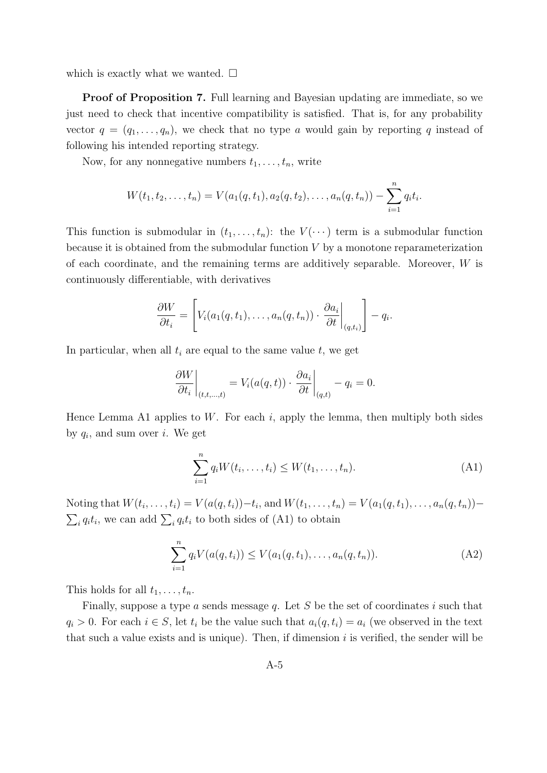which is exactly what we wanted.  $\square$ 

Proof of Proposition 7. Full learning and Bayesian updating are immediate, so we just need to check that incentive compatibility is satisfied. That is, for any probability vector  $q = (q_1, \ldots, q_n)$ , we check that no type a would gain by reporting q instead of following his intended reporting strategy.

Now, for any nonnegative numbers  $t_1, \ldots, t_n$ , write

$$
W(t_1, t_2,..., t_n) = V(a_1(q, t_1), a_2(q, t_2),..., a_n(q, t_n)) - \sum_{i=1}^n q_i t_i.
$$

This function is submodular in  $(t_1, \ldots, t_n)$ : the  $V(\cdots)$  term is a submodular function because it is obtained from the submodular function  $V$  by a monotone reparameterization of each coordinate, and the remaining terms are additively separable. Moreover, W is continuously differentiable, with derivatives

$$
\frac{\partial W}{\partial t_i} = \left[ V_i(a_1(q, t_1), \dots, a_n(q, t_n)) \cdot \frac{\partial a_i}{\partial t} \bigg|_{(q,t_i)} \right] - q_i.
$$

In particular, when all  $t_i$  are equal to the same value  $t$ , we get

$$
\left. \frac{\partial W}{\partial t_i} \right|_{(t,t,\ldots,t)} = V_i(a(q,t)) \cdot \left. \frac{\partial a_i}{\partial t} \right|_{(q,t)} - q_i = 0.
$$

Hence Lemma A1 applies to W. For each i, apply the lemma, then multiply both sides by  $q_i$ , and sum over i. We get

$$
\sum_{i=1}^{n} q_i W(t_i, ..., t_i) \le W(t_1, ..., t_n).
$$
 (A1)

Noting that  $W(t_i, ..., t_i) = V(a(q, t_i)) - t_i$ , and  $W(t_1, ..., t_n) = V(a_1(q, t_1), ..., a_n(q, t_n)) \sum_i q_i t_i$ , we can add  $\sum_i q_i t_i$  to both sides of (A1) to obtain

$$
\sum_{i=1}^{n} q_i V(a(q, t_i)) \le V(a_1(q, t_1), \dots, a_n(q, t_n)).
$$
 (A2)

This holds for all  $t_1, \ldots, t_n$ .

Finally, suppose a type  $a$  sends message  $q$ . Let  $S$  be the set of coordinates  $i$  such that  $q_i > 0$ . For each  $i \in S$ , let  $t_i$  be the value such that  $a_i(q, t_i) = a_i$  (we observed in the text that such a value exists and is unique). Then, if dimension  $i$  is verified, the sender will be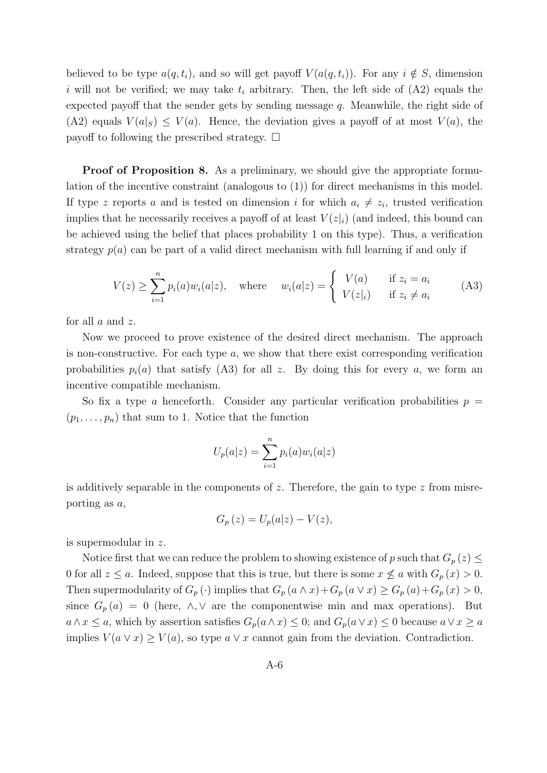believed to be type  $a(q, t_i)$ , and so will get payoff  $V(a(q, t_i))$ . For any  $i \notin S$ , dimension i will not be verified; we may take  $t_i$  arbitrary. Then, the left side of  $(A2)$  equals the expected payoff that the sender gets by sending message  $q$ . Meanwhile, the right side of (A2) equals  $V(a|_S) \le V(a)$ . Hence, the deviation gives a payoff of at most  $V(a)$ , the payoff to following the prescribed strategy.  $\Box$ 

Proof of Proposition 8. As a preliminary, we should give the appropriate formulation of the incentive constraint (analogous to (1)) for direct mechanisms in this model. If type z reports a and is tested on dimension i for which  $a_i \neq z_i$ , trusted verification implies that he necessarily receives a payoff of at least  $V(z<sub>i</sub>)$  (and indeed, this bound can be achieved using the belief that places probability 1 on this type). Thus, a verification strategy  $p(a)$  can be part of a valid direct mechanism with full learning if and only if

$$
V(z) \ge \sum_{i=1}^{n} p_i(a) w_i(a|z), \quad \text{where} \quad w_i(a|z) = \begin{cases} V(a) & \text{if } z_i = a_i \\ V(z|i) & \text{if } z_i \ne a_i \end{cases} \tag{A3}
$$

for all a and z.

Now we proceed to prove existence of the desired direct mechanism. The approach is non-constructive. For each type  $a$ , we show that there exist corresponding verification probabilities  $p_i(a)$  that satisfy (A3) for all z. By doing this for every a, we form an incentive compatible mechanism.

So fix a type a henceforth. Consider any particular verification probabilities  $p =$  $(p_1, \ldots, p_n)$  that sum to 1. Notice that the function

$$
U_p(a|z) = \sum_{i=1}^n p_i(a)w_i(a|z)
$$

is additively separable in the components of z. Therefore, the gain to type z from misreporting as a,

$$
G_p(z) = U_p(a|z) - V(z),
$$

is supermodular in z.

Notice first that we can reduce the problem to showing existence of p such that  $G_p(z) \leq$ 0 for all  $z \le a$ . Indeed, suppose that this is true, but there is some  $x \nleq a$  with  $G_p(x) > 0$ . Then supermodularity of  $G_p(\cdot)$  implies that  $G_p(a \wedge x) + G_p(a \vee x) \geq G_p(a) + G_p(x) > 0$ , since  $G_p(a) = 0$  (here,  $\wedge$ ,  $\vee$  are the componentwise min and max operations). But  $a \wedge x \leq a$ , which by assertion satisfies  $G_p(a \wedge x) \leq 0$ ; and  $G_p(a \vee x) \leq 0$  because  $a \vee x \geq a$ implies  $V(a \vee x) \geq V(a)$ , so type  $a \vee x$  cannot gain from the deviation. Contradiction.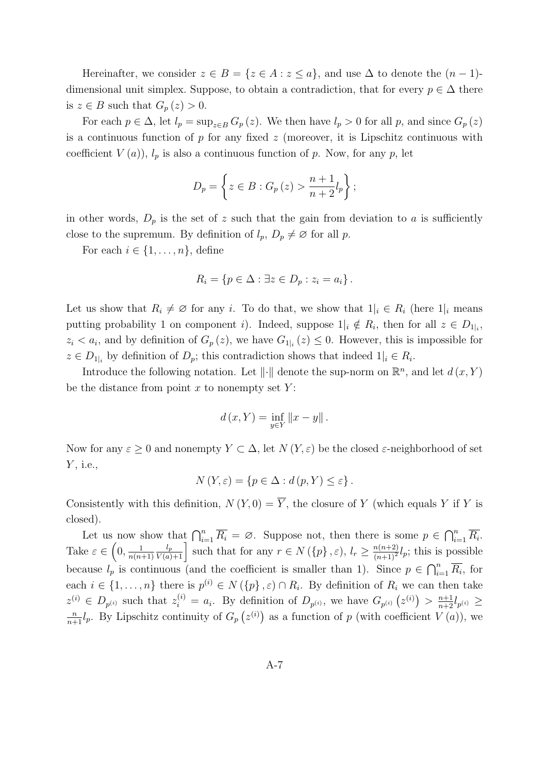Hereinafter, we consider  $z \in B = \{z \in A : z \leq a\}$ , and use  $\Delta$  to denote the  $(n-1)$ dimensional unit simplex. Suppose, to obtain a contradiction, that for every  $p \in \Delta$  there is  $z \in B$  such that  $G_p(z) > 0$ .

For each  $p \in \Delta$ , let  $l_p = \sup_{z \in B} G_p(z)$ . We then have  $l_p > 0$  for all p, and since  $G_p(z)$ is a continuous function of  $p$  for any fixed  $z$  (moreover, it is Lipschitz continuous with coefficient  $V(a)$ ,  $l_p$  is also a continuous function of p. Now, for any p, let

$$
D_p = \left\{ z \in B : G_p(z) > \frac{n+1}{n+2} l_p \right\};
$$

in other words,  $D_p$  is the set of z such that the gain from deviation to a is sufficiently close to the supremum. By definition of  $l_p$ ,  $D_p \neq \emptyset$  for all p.

For each  $i \in \{1, \ldots, n\}$ , define

$$
R_i = \{ p \in \Delta : \exists z \in D_p : z_i = a_i \} .
$$

Let us show that  $R_i \neq \emptyset$  for any i. To do that, we show that  $1|_i \in R_i$  (here  $1|_i$  means putting probability 1 on component *i*). Indeed, suppose  $1|_i \notin R_i$ , then for all  $z \in D_{1|_i}$ ,  $z_i < a_i$ , and by definition of  $G_p(z)$ , we have  $G_{1|i}(z) \leq 0$ . However, this is impossible for  $z \in D_{1|i}$  by definition of  $D_p$ ; this contradiction shows that indeed  $1|i \in R_i$ .

Introduce the following notation. Let  $\|\cdot\|$  denote the sup-norm on  $\mathbb{R}^n$ , and let  $d(x, Y)$ be the distance from point  $x$  to nonempty set  $Y$ :

$$
d(x,Y) = \inf_{y \in Y} ||x - y||.
$$

Now for any  $\varepsilon \geq 0$  and nonempty  $Y \subset \Delta$ , let  $N(Y, \varepsilon)$  be the closed  $\varepsilon$ -neighborhood of set  $Y$ , i.e.,

$$
N(Y, \varepsilon) = \{ p \in \Delta : d(p, Y) \le \varepsilon \}.
$$

Consistently with this definition,  $N(Y, 0) = \overline{Y}$ , the closure of Y (which equals Y if Y is closed).

Let us now show that  $\bigcap_{i=1}^n \overline{R_i} = \emptyset$ . Suppose not, then there is some  $p \in \bigcap_{i=1}^n \overline{R_i}$ . Take  $\varepsilon \in \left(0, \frac{1}{n(n+1)}\right)$  $n(n+1)$  $\frac{l_p}{V(a)+1}$  such that for any  $r \in N(\{p\}, \varepsilon), l_r \geq \frac{n(n+2)}{(n+1)^2}l_p$ ; this is possible because  $l_p$  is continuous (and the coefficient is smaller than 1). Since  $p \in \bigcap_{i=1}^n \overline{R_i}$ , for each  $i \in \{1, \ldots, n\}$  there is  $p^{(i)} \in N(\{p\}, \varepsilon) \cap R_i$ . By definition of  $R_i$  we can then take  $z^{(i)} \in D_{p^{(i)}}$  such that  $z_i^{(i)} = a_i$ . By definition of  $D_{p^{(i)}},$  we have  $G_{p^{(i)}}(z^{(i)}) > \frac{n+1}{n+2}l_{p^{(i)}} \geq$  $\frac{n}{n+1}l_p$ . By Lipschitz continuity of  $G_p(z^{(i)})$  as a function of p (with coefficient  $V(a)$ ), we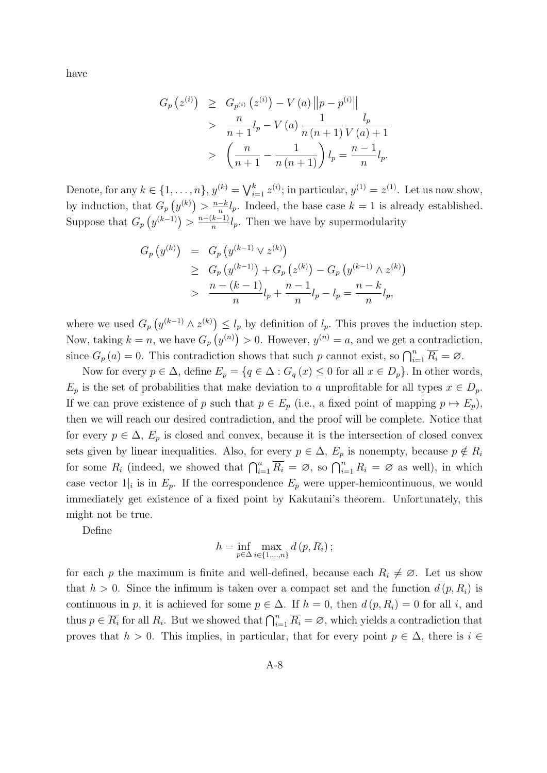have

$$
G_p(z^{(i)}) \geq G_{p^{(i)}}(z^{(i)}) - V(a) \|p - p^{(i)}\|
$$
  
> 
$$
\frac{n}{n+1}l_p - V(a) \frac{1}{n(n+1)} \frac{l_p}{V(a)+1}
$$
  
> 
$$
\left(\frac{n}{n+1} - \frac{1}{n(n+1)}\right)l_p = \frac{n-1}{n}l_p.
$$

Denote, for any  $k \in \{1, \ldots, n\}$ ,  $y^{(k)} = \bigvee_{i=1}^{k} z^{(i)}$ ; in particular,  $y^{(1)} = z^{(1)}$ . Let us now show, by induction, that  $G_p(y^{(k)}) > \frac{n-k}{n}l_p$ . Indeed, the base case  $k = 1$  is already established. n Suppose that  $G_p(y^{(k-1)}) > \frac{n-(k-1)}{n}$  $\frac{k-1}{n}l_p$ . Then we have by supermodularity

$$
G_p(y^{(k)}) = G_p(y^{(k-1)} \vee z^{(k)})
$$
  
\n
$$
\geq G_p(y^{(k-1)}) + G_p(z^{(k)}) - G_p(y^{(k-1)} \wedge z^{(k)})
$$
  
\n
$$
> \frac{n - (k-1)}{n}l_p + \frac{n-1}{n}l_p - l_p = \frac{n-k}{n}l_p,
$$

where we used  $G_p(y^{(k-1)} \wedge z^{(k)}) \leq l_p$  by definition of  $l_p$ . This proves the induction step. Now, taking  $k = n$ , we have  $G_p(y^{(n)}) > 0$ . However,  $y^{(n)} = a$ , and we get a contradiction, since  $G_p(a) = 0$ . This contradiction shows that such p cannot exist, so  $\bigcap_{i=1}^n \overline{R_i} = \emptyset$ .

Now for every  $p \in \Delta$ , define  $E_p = \{q \in \Delta : G_q(x) \leq 0 \text{ for all } x \in D_p\}$ . In other words,  $E_p$  is the set of probabilities that make deviation to a unprofitable for all types  $x \in D_p$ . If we can prove existence of p such that  $p \in E_p$  (i.e., a fixed point of mapping  $p \mapsto E_p$ ), then we will reach our desired contradiction, and the proof will be complete. Notice that for every  $p \in \Delta$ ,  $E_p$  is closed and convex, because it is the intersection of closed convex sets given by linear inequalities. Also, for every  $p \in \Delta$ ,  $E_p$  is nonempty, because  $p \notin R_i$ for some  $R_i$  (indeed, we showed that  $\bigcap_{i=1}^n \overline{R_i} = \emptyset$ , so  $\bigcap_{i=1}^n R_i = \emptyset$  as well), in which case vector  $1_i$  is in  $E_p$ . If the correspondence  $E_p$  were upper-hemicontinuous, we would immediately get existence of a fixed point by Kakutani's theorem. Unfortunately, this might not be true.

Define

$$
h = \inf_{p \in \Delta} \max_{i \in \{1, \ldots, n\}} d(p, R_i);
$$

for each p the maximum is finite and well-defined, because each  $R_i \neq \emptyset$ . Let us show that  $h > 0$ . Since the infimum is taken over a compact set and the function  $d(p, R_i)$  is continuous in p, it is achieved for some  $p \in \Delta$ . If  $h = 0$ , then  $d(p, R_i) = 0$  for all i, and thus  $p \in \overline{R_i}$  for all  $R_i$ . But we showed that  $\bigcap_{i=1}^n \overline{R_i} = \emptyset$ , which yields a contradiction that proves that  $h > 0$ . This implies, in particular, that for every point  $p \in \Delta$ , there is  $i \in$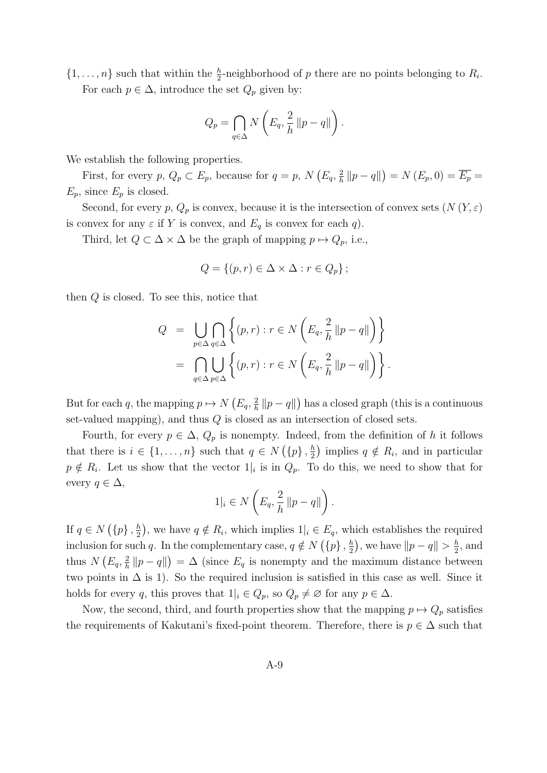$\{1,\ldots,n\}$  such that within the  $\frac{h}{2}$ -neighborhood of p there are no points belonging to  $R_i$ . For each  $p \in \Delta$ , introduce the set  $Q_p$  given by:

$$
Q_p = \bigcap_{q \in \Delta} N\left(E_q, \frac{2}{h} ||p - q||\right).
$$

We establish the following properties.

First, for every  $p, Q_p \subset E_p$ , because for  $q = p, N(E_q, \frac{2}{b})$  $\frac{2}{h} || p - q ||$  = N  $(E_p, 0) = \overline{E_p}$  =  $E_p$ , since  $E_p$  is closed.

Second, for every p,  $Q_p$  is convex, because it is the intersection of convex sets  $(N(Y, \varepsilon))$ is convex for any  $\varepsilon$  if Y is convex, and  $E_q$  is convex for each q).

Third, let  $Q \subset \Delta \times \Delta$  be the graph of mapping  $p \mapsto Q_p$ , i.e.,

$$
Q = \{(p, r) \in \Delta \times \Delta : r \in Q_p\};
$$

then  $Q$  is closed. To see this, notice that

$$
Q = \bigcup_{p \in \Delta} \bigcap_{q \in \Delta} \left\{ (p, r) : r \in N \left( E_q, \frac{2}{h} || p - q || \right) \right\}
$$
  
= 
$$
\bigcap_{q \in \Delta} \bigcup_{p \in \Delta} \left\{ (p, r) : r \in N \left( E_q, \frac{2}{h} || p - q || \right) \right\}.
$$

But for each q, the mapping  $p \mapsto N(E_q, \frac{2}{h})$  $\frac{2}{h} \| p - q \|$ ) has a closed graph (this is a continuous set-valued mapping), and thus Q is closed as an intersection of closed sets.

Fourth, for every  $p \in \Delta$ ,  $Q_p$  is nonempty. Indeed, from the definition of h it follows that there is  $i \in \{1, \ldots, n\}$  such that  $q \in N(\{p\}, \frac{h}{q})$  $\frac{h}{2}$ ) implies  $q \notin R_i$ , and in particular  $p \notin R_i$ . Let us show that the vector  $1|_i$  is in  $Q_p$ . To do this, we need to show that for every  $q \in \Delta$ ,

$$
1|_i \in N\left(E_q, \frac{2}{h}\left\|p-q\right\|\right).
$$

If  $q \in N(\lbrace p \rbrace, \frac{h}{2})$  $\frac{h}{2}$ , we have  $q \notin R_i$ , which implies  $1|_i \in E_q$ , which establishes the required inclusion for such q. In the complementary case,  $q \notin N(\lbrace p \rbrace, \frac{h}{2})$  $(\frac{h}{2})$ , we have  $||p - q|| > \frac{h}{2}$  $\frac{h}{2}$ , and thus  $N(E_q, \frac{2}{h})$  $\frac{2}{h} ||p - q||$ ) =  $\Delta$  (since  $E_q$  is nonempty and the maximum distance between two points in  $\Delta$  is 1). So the required inclusion is satisfied in this case as well. Since it holds for every q, this proves that  $1|_i \in Q_p$ , so  $Q_p \neq \emptyset$  for any  $p \in \Delta$ .

Now, the second, third, and fourth properties show that the mapping  $p \mapsto Q_p$  satisfies the requirements of Kakutani's fixed-point theorem. Therefore, there is  $p \in \Delta$  such that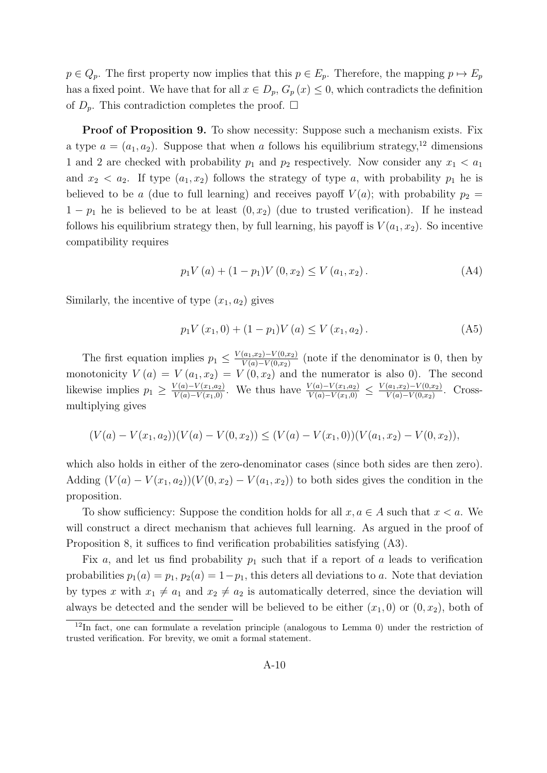$p \in Q_p$ . The first property now implies that this  $p \in E_p$ . Therefore, the mapping  $p \mapsto E_p$ has a fixed point. We have that for all  $x \in D_p$ ,  $G_p(x) \leq 0$ , which contradicts the definition of  $D_p$ . This contradiction completes the proof.  $\Box$ 

**Proof of Proposition 9.** To show necessity: Suppose such a mechanism exists. Fix a type  $a = (a_1, a_2)$ . Suppose that when a follows his equilibrium strategy,<sup>12</sup> dimensions 1 and 2 are checked with probability  $p_1$  and  $p_2$  respectively. Now consider any  $x_1 < a_1$ and  $x_2 < a_2$ . If type  $(a_1, x_2)$  follows the strategy of type a, with probability  $p_1$  he is believed to be a (due to full learning) and receives payoff  $V(a)$ ; with probability  $p_2 =$  $1 - p_1$  he is believed to be at least  $(0, x_2)$  (due to trusted verification). If he instead follows his equilibrium strategy then, by full learning, his payoff is  $V(a_1, x_2)$ . So incentive compatibility requires

$$
p_1 V(a) + (1 - p_1) V(0, x_2) \le V(a_1, x_2).
$$
 (A4)

Similarly, the incentive of type  $(x_1, a_2)$  gives

$$
p_1 V(x_1, 0) + (1 - p_1) V(a) \le V(x_1, a_2).
$$
 (A5)

The first equation implies  $p_1 \n\t\leq \frac{V(a_1,x_2)-V(0,x_2)}{V(a)-V(0,x_2)}$  $\frac{(a_1,x_2)-V(0,x_2)}{V(a)-V(0,x_2)}$  (note if the denominator is 0, then by monotonicity  $V(a) = V(a_1, x_2) = V(0, x_2)$  and the numerator is also 0). The second likewise implies  $p_1 \geq \frac{V(a)-V(x_1,a_2)}{V(a)-V(x_1,0)}$ . We thus have  $\frac{V(a)-V(x_1,a_2)}{V(a)-V(x_1,0)} \leq \frac{V(a_1,x_2)-V(0,x_2)}{V(a)-V(0,x_2)}$  $\frac{(a_1,x_2)-V(0,x_2)}{V(a)-V(0,x_2)}$ . Crossmultiplying gives

$$
(V(a) - V(x_1, a_2))(V(a) - V(0, x_2)) \le (V(a) - V(x_1, 0))(V(a_1, x_2) - V(0, x_2)),
$$

which also holds in either of the zero-denominator cases (since both sides are then zero). Adding  $(V(a) - V(x_1, a_2))(V(0, x_2) - V(a_1, x_2))$  to both sides gives the condition in the proposition.

To show sufficiency: Suppose the condition holds for all  $x, a \in A$  such that  $x < a$ . We will construct a direct mechanism that achieves full learning. As argued in the proof of Proposition 8, it suffices to find verification probabilities satisfying  $(A3)$ .

Fix a, and let us find probability  $p_1$  such that if a report of a leads to verification probabilities  $p_1(a) = p_1, p_2(a) = 1-p_1$ , this deters all deviations to a. Note that deviation by types x with  $x_1 \neq a_1$  and  $x_2 \neq a_2$  is automatically deterred, since the deviation will always be detected and the sender will be believed to be either  $(x_1, 0)$  or  $(0, x_2)$ , both of

<sup>&</sup>lt;sup>12</sup>In fact, one can formulate a revelation principle (analogous to Lemma 0) under the restriction of trusted verification. For brevity, we omit a formal statement.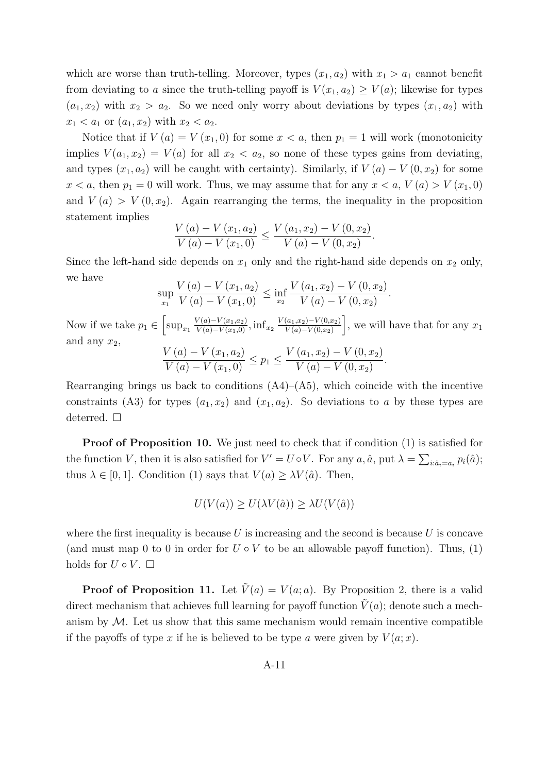which are worse than truth-telling. Moreover, types  $(x_1, a_2)$  with  $x_1 > a_1$  cannot benefit from deviating to a since the truth-telling payoff is  $V(x_1, a_2) \ge V(a)$ ; likewise for types  $(a_1, x_2)$  with  $x_2 > a_2$ . So we need only worry about deviations by types  $(x_1, a_2)$  with  $x_1 < a_1$  or  $(a_1, x_2)$  with  $x_2 < a_2$ .

Notice that if  $V(a) = V(x_1, 0)$  for some  $x < a$ , then  $p_1 = 1$  will work (monotonicity implies  $V(a_1, x_2) = V(a)$  for all  $x_2 < a_2$ , so none of these types gains from deviating, and types  $(x_1, a_2)$  will be caught with certainty). Similarly, if  $V(a) - V(0, x_2)$  for some  $x < a$ , then  $p_1 = 0$  will work. Thus, we may assume that for any  $x < a$ ,  $V(a) > V(x_1, 0)$ and  $V(a) > V(0, x_2)$ . Again rearranging the terms, the inequality in the proposition statement implies

$$
\frac{V(a) - V(x_1, a_2)}{V(a) - V(x_1, 0)} \le \frac{V(a_1, x_2) - V(0, x_2)}{V(a) - V(0, x_2)}.
$$

Since the left-hand side depends on  $x_1$  only and the right-hand side depends on  $x_2$  only, we have

$$
\sup_{x_1} \frac{V(a) - V(x_1, a_2)}{V(a) - V(x_1, 0)} \le \inf_{x_2} \frac{V(a_1, x_2) - V(0, x_2)}{V(a) - V(0, x_2)}.
$$

Now if we take  $p_1 \in \left[\sup_{x_1} \frac{V(a)-V(x_1,a_2)}{V(a)-V(x_1,0)}, \inf_{x_2} \frac{V(a_1,x_2)-V(0,x_2)}{V(a)-V(0,x_2)}\right]$  $V(a) - V(0,x_2)$ , we will have that for any  $x_1$ and any  $x_2$ ,  $V(a) - V(x_1, a_2)$   $\qquad \qquad V(a_1, x_2) - V(0, x_2)$ 

$$
\frac{V(a) - V(x_1, a_2)}{V(a) - V(x_1, 0)} \le p_1 \le \frac{V(a_1, x_2) - V(0, x_2)}{V(a) - V(0, x_2)}.
$$

Rearranging brings us back to conditions  $(A4)$ – $(A5)$ , which coincide with the incentive constraints (A3) for types  $(a_1, x_2)$  and  $(x_1, a_2)$ . So deviations to a by these types are deterred.  $\square$ 

**Proof of Proposition 10.** We just need to check that if condition (1) is satisfied for the function V, then it is also satisfied for  $V' = U \circ V$ . For any  $a, \hat{a}$ , put  $\lambda = \sum_{i: \hat{a}_i = a_i} p_i(\hat{a})$ ; thus  $\lambda \in [0, 1]$ . Condition (1) says that  $V(a) \geq \lambda V(\hat{a})$ . Then,

$$
U(V(a)) \ge U(\lambda V(\hat{a})) \ge \lambda U(V(\hat{a}))
$$

where the first inequality is because  $U$  is increasing and the second is because  $U$  is concave (and must map 0 to 0 in order for  $U \circ V$  to be an allowable payoff function). Thus, (1) holds for  $U \circ V$ .  $\Box$ 

**Proof of Proposition 11.** Let  $\tilde{V}(a) = V(a; a)$ . By Proposition 2, there is a valid direct mechanism that achieves full learning for payoff function  $\tilde{V}(a)$ ; denote such a mechanism by  $M$ . Let us show that this same mechanism would remain incentive compatible if the payoffs of type x if he is believed to be type a were given by  $V(a; x)$ .